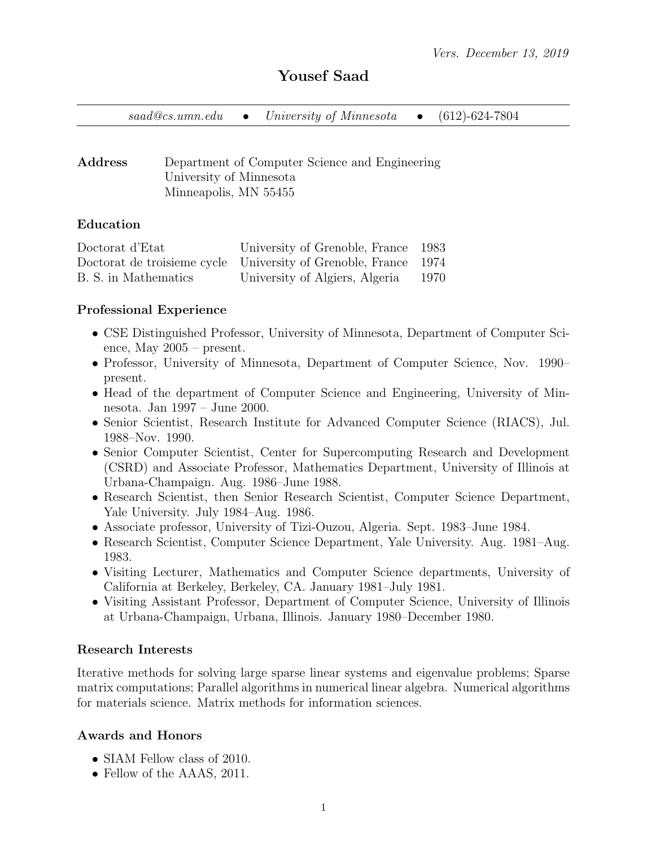# Yousef Saad

|  |  | $saad@cs.umm.edu$ $\bullet$ University of Minnesota $\bullet$ |  | $(612)$ -624-7804 |
|--|--|---------------------------------------------------------------|--|-------------------|
|--|--|---------------------------------------------------------------|--|-------------------|

Address Department of Computer Science and Engineering University of Minnesota Minneapolis, MN 55455

#### Education

| Doctorat d'Etat      | University of Grenoble, France 1983                             |        |
|----------------------|-----------------------------------------------------------------|--------|
|                      | Doctorat de troisieme cycle University of Grenoble, France 1974 |        |
| B. S. in Mathematics | University of Algiers, Algeria                                  | - 1970 |

#### Professional Experience

- CSE Distinguished Professor, University of Minnesota, Department of Computer Science, May 2005 – present.
- Professor, University of Minnesota, Department of Computer Science, Nov. 1990– present.
- Head of the department of Computer Science and Engineering, University of Minnesota. Jan 1997 – June 2000.
- Senior Scientist, Research Institute for Advanced Computer Science (RIACS), Jul. 1988–Nov. 1990.
- Senior Computer Scientist, Center for Supercomputing Research and Development (CSRD) and Associate Professor, Mathematics Department, University of Illinois at Urbana-Champaign. Aug. 1986–June 1988.
- Research Scientist, then Senior Research Scientist, Computer Science Department, Yale University. July 1984–Aug. 1986.
- Associate professor, University of Tizi-Ouzou, Algeria. Sept. 1983–June 1984.
- Research Scientist, Computer Science Department, Yale University. Aug. 1981–Aug. 1983.
- Visiting Lecturer, Mathematics and Computer Science departments, University of California at Berkeley, Berkeley, CA. January 1981–July 1981.
- Visiting Assistant Professor, Department of Computer Science, University of Illinois at Urbana-Champaign, Urbana, Illinois. January 1980–December 1980.

#### Research Interests

Iterative methods for solving large sparse linear systems and eigenvalue problems; Sparse matrix computations; Parallel algorithms in numerical linear algebra. Numerical algorithms for materials science. Matrix methods for information sciences.

### Awards and Honors

- SIAM Fellow class of 2010.
- Fellow of the AAAS, 2011.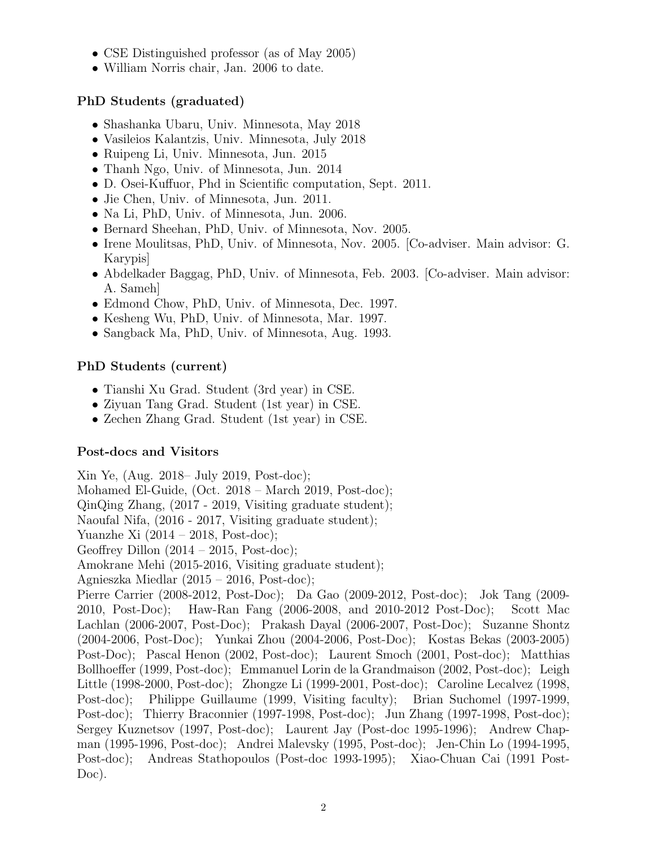- CSE Distinguished professor (as of May 2005)
- William Norris chair, Jan. 2006 to date.

# PhD Students (graduated)

- Shashanka Ubaru, Univ. Minnesota, May 2018
- Vasileios Kalantzis, Univ. Minnesota, July 2018
- Ruipeng Li, Univ. Minnesota, Jun. 2015
- Thanh Ngo, Univ. of Minnesota, Jun. 2014
- D. Osei-Kuffuor, Phd in Scientific computation, Sept. 2011.
- Jie Chen, Univ. of Minnesota, Jun. 2011.
- Na Li, PhD, Univ. of Minnesota, Jun. 2006.
- Bernard Sheehan, PhD, Univ. of Minnesota, Nov. 2005.
- Irene Moulitsas, PhD, Univ. of Minnesota, Nov. 2005. [Co-adviser. Main advisor: G. Karypis]
- Abdelkader Baggag, PhD, Univ. of Minnesota, Feb. 2003. [Co-adviser. Main advisor: A. Sameh]
- Edmond Chow, PhD, Univ. of Minnesota, Dec. 1997.
- Kesheng Wu, PhD, Univ. of Minnesota, Mar. 1997.
- Sangback Ma, PhD, Univ. of Minnesota, Aug. 1993.

# PhD Students (current)

- Tianshi Xu Grad. Student (3rd year) in CSE.
- Ziyuan Tang Grad. Student (1st year) in CSE.
- Zechen Zhang Grad. Student (1st year) in CSE.

# Post-docs and Visitors

Xin Ye, (Aug. 2018– July 2019, Post-doc); Mohamed El-Guide, (Oct. 2018 – March 2019, Post-doc); QinQing Zhang, (2017 - 2019, Visiting graduate student); Naoufal Nifa, (2016 - 2017, Visiting graduate student); Yuanzhe Xi (2014 – 2018, Post-doc); Geoffrey Dillon  $(2014 - 2015, Post-doc);$ Amokrane Mehi (2015-2016, Visiting graduate student); Agnieszka Miedlar (2015 – 2016, Post-doc); Pierre Carrier (2008-2012, Post-Doc); Da Gao (2009-2012, Post-doc); Jok Tang (2009- 2010, Post-Doc); Haw-Ran Fang (2006-2008, and 2010-2012 Post-Doc); Scott Mac Lachlan (2006-2007, Post-Doc); Prakash Dayal (2006-2007, Post-Doc); Suzanne Shontz (2004-2006, Post-Doc); Yunkai Zhou (2004-2006, Post-Doc); Kostas Bekas (2003-2005) Post-Doc); Pascal Henon (2002, Post-doc); Laurent Smoch (2001, Post-doc); Matthias Bollhoeffer (1999, Post-doc); Emmanuel Lorin de la Grandmaison (2002, Post-doc); Leigh Little (1998-2000, Post-doc); Zhongze Li (1999-2001, Post-doc); Caroline Lecalvez (1998, Post-doc); Philippe Guillaume (1999, Visiting faculty); Brian Suchomel (1997-1999, Post-doc); Thierry Braconnier (1997-1998, Post-doc); Jun Zhang (1997-1998, Post-doc); Sergey Kuznetsov (1997, Post-doc); Laurent Jay (Post-doc 1995-1996); Andrew Chapman (1995-1996, Post-doc); Andrei Malevsky (1995, Post-doc); Jen-Chin Lo (1994-1995, Post-doc); Andreas Stathopoulos (Post-doc 1993-1995); Xiao-Chuan Cai (1991 Post-Doc).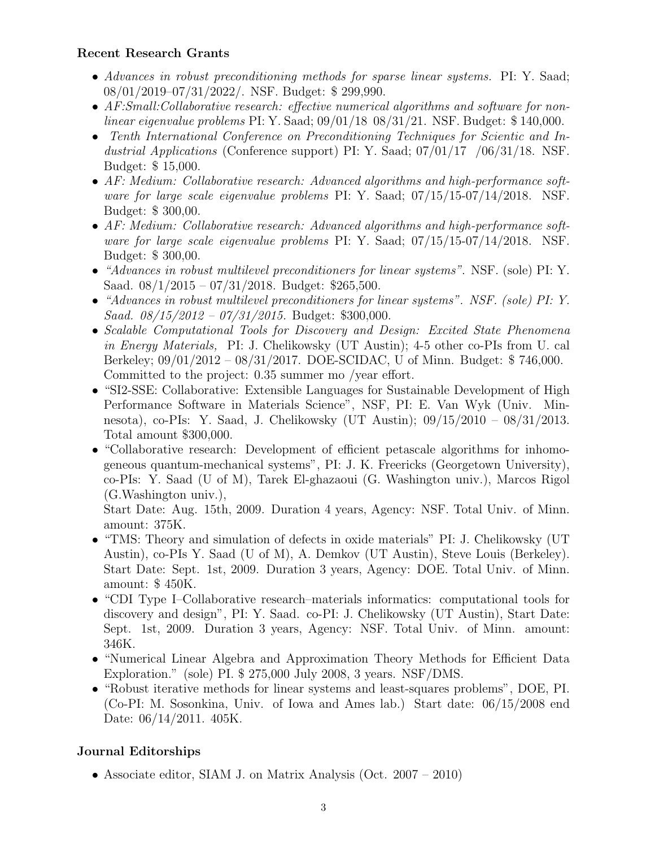### Recent Research Grants

- Advances in robust preconditioning methods for sparse linear systems. PI: Y. Saad; 08/01/2019–07/31/2022/. NSF. Budget: \$ 299,990.
- AF:Small:Collaborative research: effective numerical algorithms and software for nonlinear eigenvalue problems PI: Y. Saad; 09/01/18 08/31/21. NSF. Budget: \$ 140,000.
- Tenth International Conference on Preconditioning Techniques for Scientic and Industrial Applications (Conference support) PI: Y. Saad;  $07/01/17$  /06/31/18. NSF. Budget: \$ 15,000.
- AF: Medium: Collaborative research: Advanced algorithms and high-performance software for large scale eigenvalue problems PI: Y. Saad; 07/15/15-07/14/2018. NSF. Budget: \$ 300,00.
- AF: Medium: Collaborative research: Advanced algorithms and high-performance software for large scale eigenvalue problems PI: Y. Saad; 07/15/15-07/14/2018. NSF. Budget: \$ 300,00.
- "Advances in robust multilevel preconditioners for linear systems". NSF. (sole) PI: Y. Saad. 08/1/2015 – 07/31/2018. Budget: \$265,500.
- "Advances in robust multilevel preconditioners for linear systems". NSF. (sole) PI: Y. Saad. 08/15/2012 – 07/31/2015. Budget: \$300,000.
- Scalable Computational Tools for Discovery and Design: Excited State Phenomena in Energy Materials, PI: J. Chelikowsky (UT Austin); 4-5 other co-PIs from U. cal Berkeley; 09/01/2012 – 08/31/2017. DOE-SCIDAC, U of Minn. Budget: \$ 746,000. Committed to the project: 0.35 summer mo /year effort.
- "SI2-SSE: Collaborative: Extensible Languages for Sustainable Development of High Performance Software in Materials Science", NSF, PI: E. Van Wyk (Univ. Minnesota), co-PIs: Y. Saad, J. Chelikowsky (UT Austin); 09/15/2010 – 08/31/2013. Total amount \$300,000.
- "Collaborative research: Development of efficient petascale algorithms for inhomogeneous quantum-mechanical systems", PI: J. K. Freericks (Georgetown University), co-PIs: Y. Saad (U of M), Tarek El-ghazaoui (G. Washington univ.), Marcos Rigol (G.Washington univ.),

Start Date: Aug. 15th, 2009. Duration 4 years, Agency: NSF. Total Univ. of Minn. amount: 375K.

- "TMS: Theory and simulation of defects in oxide materials" PI: J. Chelikowsky (UT) Austin), co-PIs Y. Saad (U of M), A. Demkov (UT Austin), Steve Louis (Berkeley). Start Date: Sept. 1st, 2009. Duration 3 years, Agency: DOE. Total Univ. of Minn. amount: \$ 450K.
- "CDI Type I–Collaborative research–materials informatics: computational tools for discovery and design", PI: Y. Saad. co-PI: J. Chelikowsky (UT Austin), Start Date: Sept. 1st, 2009. Duration 3 years, Agency: NSF. Total Univ. of Minn. amount: 346K.
- "Numerical Linear Algebra and Approximation Theory Methods for Efficient Data Exploration." (sole) PI. \$ 275,000 July 2008, 3 years. NSF/DMS.
- "Robust iterative methods for linear systems and least-squares problems", DOE, PI. (Co-PI: M. Sosonkina, Univ. of Iowa and Ames lab.) Start date: 06/15/2008 end Date: 06/14/2011. 405K.

# Journal Editorships

• Associate editor, SIAM J. on Matrix Analysis (Oct. 2007 – 2010)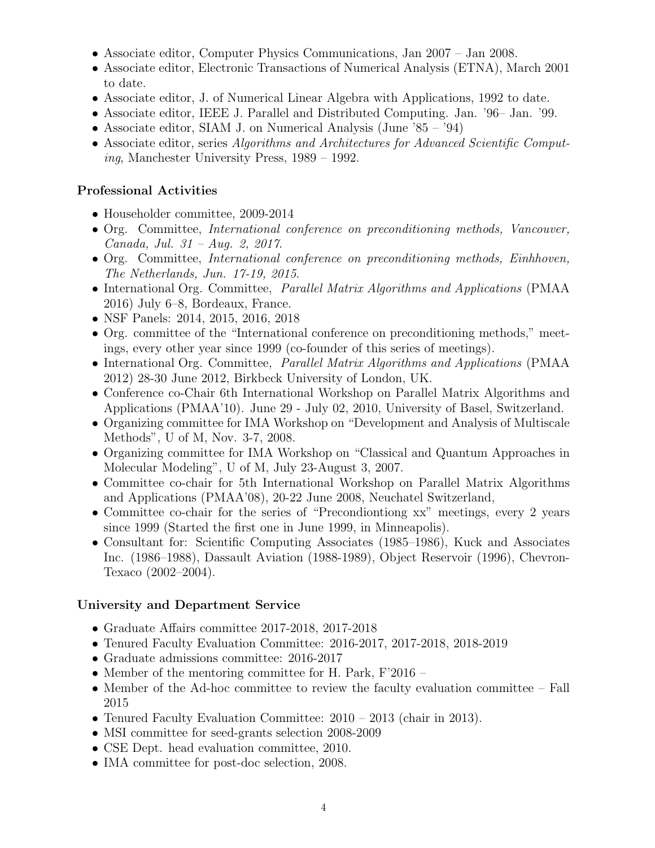- Associate editor, Computer Physics Communications, Jan 2007 Jan 2008.
- Associate editor, Electronic Transactions of Numerical Analysis (ETNA), March 2001 to date.
- Associate editor, J. of Numerical Linear Algebra with Applications, 1992 to date.
- Associate editor, IEEE J. Parallel and Distributed Computing. Jan. '96– Jan. '99.
- Associate editor, SIAM J. on Numerical Analysis (June '85 '94)
- Associate editor, series Algorithms and Architectures for Advanced Scientific Computing, Manchester University Press, 1989 – 1992.

### Professional Activities

- Householder committee, 2009-2014
- Org. Committee, International conference on preconditioning methods, Vancouver, Canada, Jul. 31 – Aug. 2, 2017.
- Org. Committee, International conference on preconditioning methods, Einhhoven, The Netherlands, Jun. 17-19, 2015.
- International Org. Committee, Parallel Matrix Algorithms and Applications (PMAA 2016) July 6–8, Bordeaux, France.
- NSF Panels: 2014, 2015, 2016, 2018
- Org. committee of the "International conference on preconditioning methods," meetings, every other year since 1999 (co-founder of this series of meetings).
- International Org. Committee, *Parallel Matrix Algorithms and Applications* (PMAA) 2012) 28-30 June 2012, Birkbeck University of London, UK.
- Conference co-Chair 6th International Workshop on Parallel Matrix Algorithms and Applications (PMAA'10). June 29 - July 02, 2010, University of Basel, Switzerland.
- Organizing committee for IMA Workshop on "Development and Analysis of Multiscale Methods", U of M, Nov. 3-7, 2008.
- Organizing committee for IMA Workshop on "Classical and Quantum Approaches in Molecular Modeling", U of M, July 23-August 3, 2007.
- Committee co-chair for 5th International Workshop on Parallel Matrix Algorithms and Applications (PMAA'08), 20-22 June 2008, Neuchatel Switzerland,
- Committee co-chair for the series of "Precondiontiong xx" meetings, every 2 years since 1999 (Started the first one in June 1999, in Minneapolis).
- Consultant for: Scientific Computing Associates (1985–1986), Kuck and Associates Inc. (1986–1988), Dassault Aviation (1988-1989), Object Reservoir (1996), Chevron-Texaco (2002–2004).

# University and Department Service

- Graduate Affairs committee 2017-2018, 2017-2018
- Tenured Faculty Evaluation Committee: 2016-2017, 2017-2018, 2018-2019
- Graduate admissions committee: 2016-2017
- Member of the mentoring committee for H. Park, F'2016 –
- Member of the Ad-hoc committee to review the faculty evaluation committee Fall 2015
- Tenured Faculty Evaluation Committee: 2010 2013 (chair in 2013).
- MSI committee for seed-grants selection 2008-2009
- CSE Dept. head evaluation committee, 2010.
- IMA committee for post-doc selection, 2008.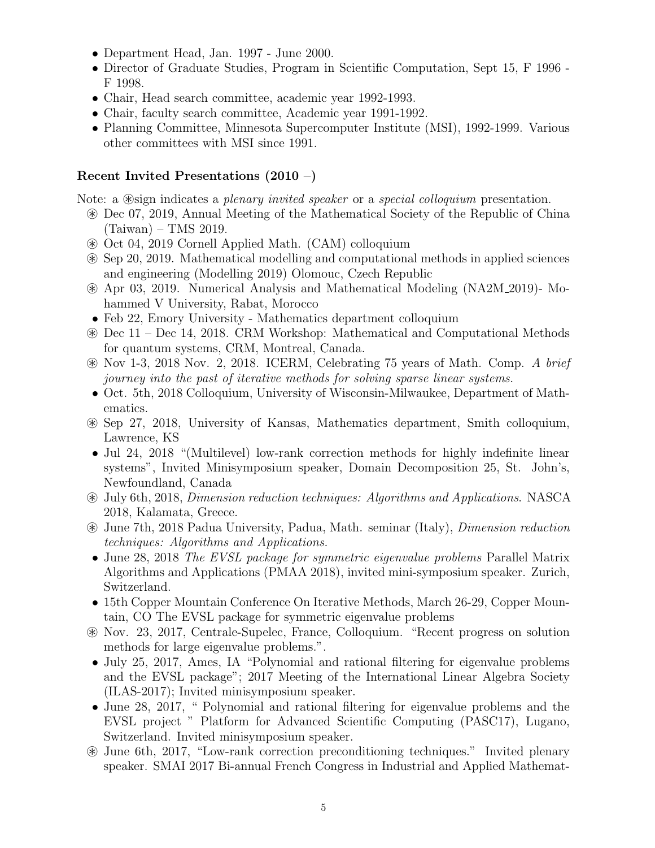- Department Head, Jan. 1997 June 2000.
- Director of Graduate Studies, Program in Scientific Computation, Sept 15, F 1996 F 1998.
- Chair, Head search committee, academic year 1992-1993.
- Chair, faculty search committee, Academic year 1991-1992.
- Planning Committee, Minnesota Supercomputer Institute (MSI), 1992-1999. Various other committees with MSI since 1991.

### Recent Invited Presentations (2010 –)

Note: a  $\otimes$  sign indicates a *plenary invited speaker* or a *special colloquium* presentation.

- ~ Dec 07, 2019, Annual Meeting of the Mathematical Society of the Republic of China (Taiwan) – TMS 2019.
- ~ Oct 04, 2019 Cornell Applied Math. (CAM) colloquium
- ~ Sep 20, 2019. Mathematical modelling and computational methods in applied sciences and engineering (Modelling 2019) Olomouc, Czech Republic
- ~ Apr 03, 2019. Numerical Analysis and Mathematical Modeling (NA2M 2019)- Mohammed V University, Rabat, Morocco
- Feb 22, Emory University Mathematics department colloquium
- ~ Dec 11 Dec 14, 2018. CRM Workshop: Mathematical and Computational Methods for quantum systems, CRM, Montreal, Canada.
- $\circledast$  Nov 1-3, 2018 Nov. 2, 2018. ICERM, Celebrating 75 years of Math. Comp. A brief journey into the past of iterative methods for solving sparse linear systems.
- Oct. 5th, 2018 Colloquium, University of Wisconsin-Milwaukee, Department of Mathematics.
- ~ Sep 27, 2018, University of Kansas, Mathematics department, Smith colloquium, Lawrence, KS
- Jul 24, 2018 "(Multilevel) low-rank correction methods for highly indefinite linear systems", Invited Minisymposium speaker, Domain Decomposition 25, St. John's, Newfoundland, Canada
- ~ July 6th, 2018, Dimension reduction techniques: Algorithms and Applications. NASCA 2018, Kalamata, Greece.
- ~ June 7th, 2018 Padua University, Padua, Math. seminar (Italy), Dimension reduction techniques: Algorithms and Applications.
- June 28, 2018 The EVSL package for symmetric eigenvalue problems Parallel Matrix Algorithms and Applications (PMAA 2018), invited mini-symposium speaker. Zurich, Switzerland.
- 15th Copper Mountain Conference On Iterative Methods, March 26-29, Copper Mountain, CO The EVSL package for symmetric eigenvalue problems
- ~ Nov. 23, 2017, Centrale-Supelec, France, Colloquium. "Recent progress on solution methods for large eigenvalue problems.".
- July 25, 2017, Ames, IA "Polynomial and rational filtering for eigenvalue problems and the EVSL package"; 2017 Meeting of the International Linear Algebra Society (ILAS-2017); Invited minisymposium speaker.
- June 28, 2017, " Polynomial and rational filtering for eigenvalue problems and the EVSL project " Platform for Advanced Scientific Computing (PASC17), Lugano, Switzerland. Invited minisymposium speaker.
- ~ June 6th, 2017, "Low-rank correction preconditioning techniques." Invited plenary speaker. SMAI 2017 Bi-annual French Congress in Industrial and Applied Mathemat-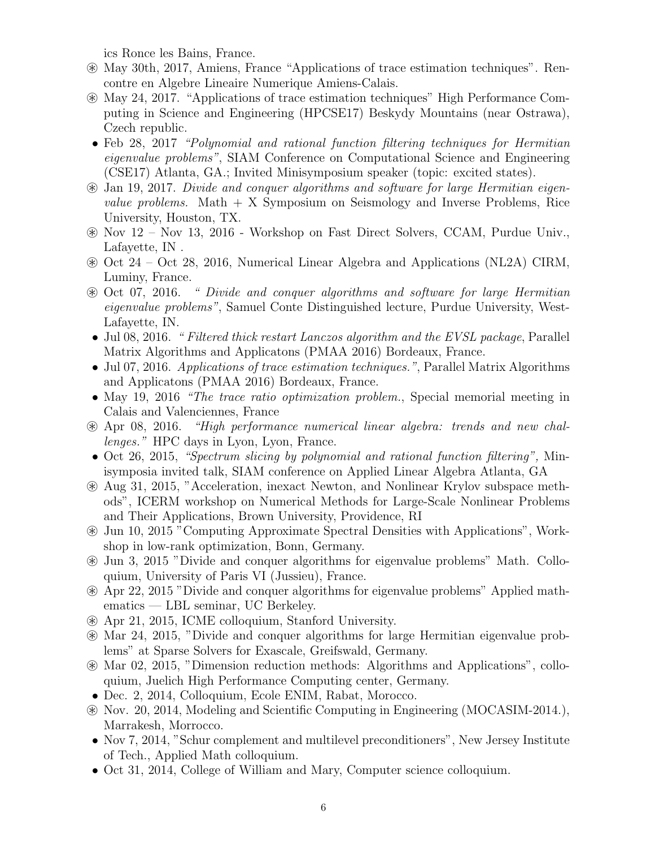ics Ronce les Bains, France.

- ~ May 30th, 2017, Amiens, France "Applications of trace estimation techniques". Rencontre en Algebre Lineaire Numerique Amiens-Calais.
- ~ May 24, 2017. "Applications of trace estimation techniques" High Performance Computing in Science and Engineering (HPCSE17) Beskydy Mountains (near Ostrawa), Czech republic.
- Feb 28, 2017 *"Polynomial and rational function filtering techniques for Hermitian* eigenvalue problems", SIAM Conference on Computational Science and Engineering (CSE17) Atlanta, GA.; Invited Minisymposium speaker (topic: excited states).
- ~ Jan 19, 2017. Divide and conquer algorithms and software for large Hermitian eigen*value problems.* Math  $+ X$  Symposium on Seismology and Inverse Problems, Rice University, Houston, TX.
- ~ Nov 12 Nov 13, 2016 Workshop on Fast Direct Solvers, CCAM, Purdue Univ., Lafayette, IN .
- ~ Oct 24 Oct 28, 2016, Numerical Linear Algebra and Applications (NL2A) CIRM, Luminy, France.
- ~ Oct 07, 2016. " Divide and conquer algorithms and software for large Hermitian eigenvalue problems", Samuel Conte Distinguished lecture, Purdue University, West-Lafayette, IN.
- Jul 08, 2016. "Filtered thick restart Lanczos algorithm and the EVSL package, Parallel Matrix Algorithms and Applicatons (PMAA 2016) Bordeaux, France.
- Jul 07, 2016. Applications of trace estimation techniques.", Parallel Matrix Algorithms and Applicatons (PMAA 2016) Bordeaux, France.
- May 19, 2016 *"The trace ratio optimization problem.*, Special memorial meeting in Calais and Valenciennes, France
- $\otimes$  Apr 08, 2016. "High performance numerical linear algebra: trends and new challenges." HPC days in Lyon, Lyon, France.
- Oct 26, 2015, *"Spectrum slicing by polynomial and rational function filtering*", Minisymposia invited talk, SIAM conference on Applied Linear Algebra Atlanta, GA
- ~ Aug 31, 2015, "Acceleration, inexact Newton, and Nonlinear Krylov subspace methods", ICERM workshop on Numerical Methods for Large-Scale Nonlinear Problems and Their Applications, Brown University, Providence, RI
- ~ Jun 10, 2015 "Computing Approximate Spectral Densities with Applications", Workshop in low-rank optimization, Bonn, Germany.
- ~ Jun 3, 2015 "Divide and conquer algorithms for eigenvalue problems" Math. Colloquium, University of Paris VI (Jussieu), France.
- ~ Apr 22, 2015 "Divide and conquer algorithms for eigenvalue problems" Applied mathematics — LBL seminar, UC Berkeley.
- ~ Apr 21, 2015, ICME colloquium, Stanford University.
- ~ Mar 24, 2015, "Divide and conquer algorithms for large Hermitian eigenvalue problems" at Sparse Solvers for Exascale, Greifswald, Germany.
- ~ Mar 02, 2015, "Dimension reduction methods: Algorithms and Applications", colloquium, Juelich High Performance Computing center, Germany.
- Dec. 2, 2014, Colloquium, Ecole ENIM, Rabat, Morocco.
- ~ Nov. 20, 2014, Modeling and Scientific Computing in Engineering (MOCASIM-2014.), Marrakesh, Morrocco.
- Nov 7, 2014, "Schur complement and multilevel preconditioners", New Jersey Institute of Tech., Applied Math colloquium.
- Oct 31, 2014, College of William and Mary, Computer science colloquium.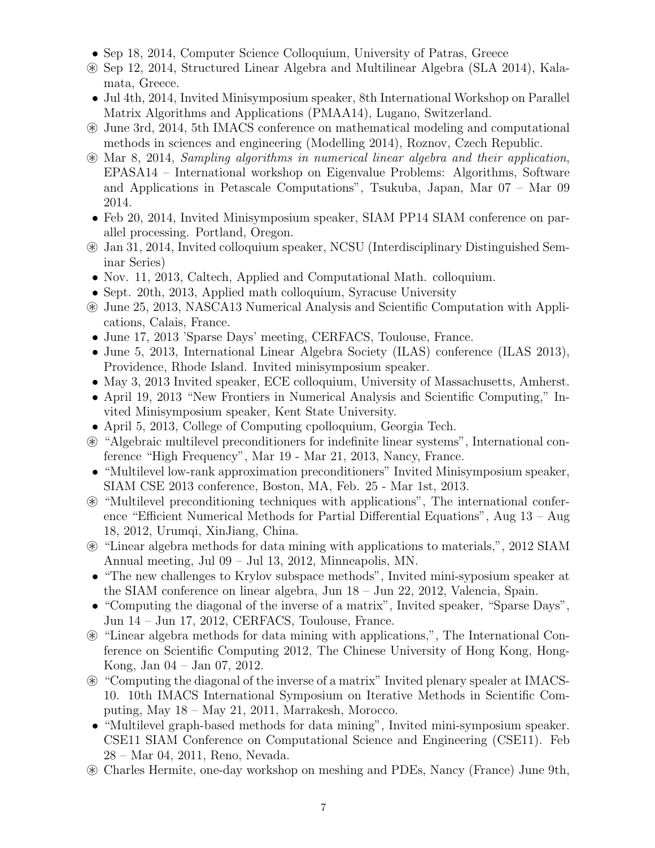- Sep 18, 2014, Computer Science Colloquium, University of Patras, Greece
- ~ Sep 12, 2014, Structured Linear Algebra and Multilinear Algebra (SLA 2014), Kalamata, Greece.
- Jul 4th, 2014, Invited Minisymposium speaker, 8th International Workshop on Parallel Matrix Algorithms and Applications (PMAA14), Lugano, Switzerland.
- ~ June 3rd, 2014, 5th IMACS conference on mathematical modeling and computational methods in sciences and engineering (Modelling 2014), Roznov, Czech Republic.
- ~ Mar 8, 2014, Sampling algorithms in numerical linear algebra and their application, EPASA14 – International workshop on Eigenvalue Problems: Algorithms, Software and Applications in Petascale Computations", Tsukuba, Japan, Mar 07 – Mar 09 2014.
- Feb 20, 2014, Invited Minisymposium speaker, SIAM PP14 SIAM conference on parallel processing. Portland, Oregon.
- ~ Jan 31, 2014, Invited colloquium speaker, NCSU (Interdisciplinary Distinguished Seminar Series)
- Nov. 11, 2013, Caltech, Applied and Computational Math. colloquium.
- Sept. 20th, 2013, Applied math colloquium, Syracuse University
- ~ June 25, 2013, NASCA13 Numerical Analysis and Scientific Computation with Applications, Calais, France.
- June 17, 2013 'Sparse Days' meeting, CERFACS, Toulouse, France.
- June 5, 2013, International Linear Algebra Society (ILAS) conference (ILAS 2013), Providence, Rhode Island. Invited minisymposium speaker.
- May 3, 2013 Invited speaker, ECE colloquium, University of Massachusetts, Amherst.
- April 19, 2013 "New Frontiers in Numerical Analysis and Scientific Computing," Invited Minisymposium speaker, Kent State University.
- April 5, 2013, College of Computing cpolloquium, Georgia Tech.
- ~ "Algebraic multilevel preconditioners for indefinite linear systems", International conference "High Frequency", Mar 19 - Mar 21, 2013, Nancy, France.
- "Multilevel low-rank approximation preconditioners" Invited Minisymposium speaker, SIAM CSE 2013 conference, Boston, MA, Feb. 25 - Mar 1st, 2013.
- ~ "Multilevel preconditioning techniques with applications", The international conference "Efficient Numerical Methods for Partial Differential Equations", Aug 13 – Aug 18, 2012, Urumqi, XinJiang, China.
- ~ "Linear algebra methods for data mining with applications to materials,", 2012 SIAM Annual meeting, Jul 09 – Jul 13, 2012, Minneapolis, MN.
- "The new challenges to Krylov subspace methods", Invited mini-syposium speaker at the SIAM conference on linear algebra, Jun 18 – Jun 22, 2012, Valencia, Spain.
- "Computing the diagonal of the inverse of a matrix", Invited speaker, "Sparse Days", Jun 14 – Jun 17, 2012, CERFACS, Toulouse, France.
- ~ "Linear algebra methods for data mining with applications,", The International Conference on Scientific Computing 2012, The Chinese University of Hong Kong, Hong-Kong, Jan 04 – Jan 07, 2012.
- ~ "Computing the diagonal of the inverse of a matrix" Invited plenary spealer at IMACS-10. 10th IMACS International Symposium on Iterative Methods in Scientific Computing, May 18 – May 21, 2011, Marrakesh, Morocco.
- "Multilevel graph-based methods for data mining", Invited mini-symposium speaker. CSE11 SIAM Conference on Computational Science and Engineering (CSE11). Feb 28 – Mar 04, 2011, Reno, Nevada.
- ~ Charles Hermite, one-day workshop on meshing and PDEs, Nancy (France) June 9th,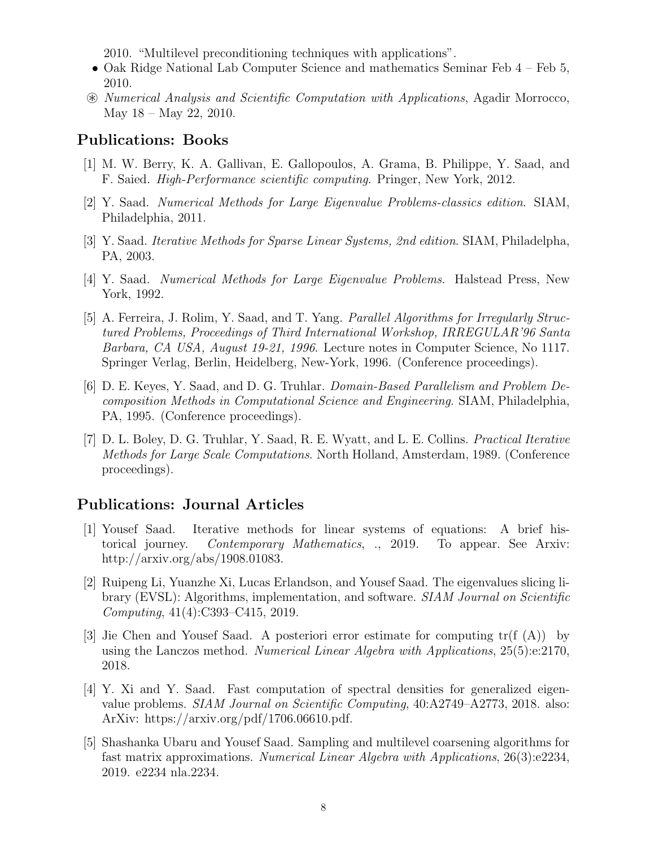2010. "Multilevel preconditioning techniques with applications".

- Oak Ridge National Lab Computer Science and mathematics Seminar Feb 4 Feb 5, 2010.
- ~ Numerical Analysis and Scientific Computation with Applications, Agadir Morrocco, May  $18 -$ May  $22$ ,  $2010$ .

#### Publications: Books

- [1] M. W. Berry, K. A. Gallivan, E. Gallopoulos, A. Grama, B. Philippe, Y. Saad, and F. Saied. High-Performance scientific computing. Pringer, New York, 2012.
- [2] Y. Saad. Numerical Methods for Large Eigenvalue Problems-classics edition. SIAM, Philadelphia, 2011.
- [3] Y. Saad. Iterative Methods for Sparse Linear Systems, 2nd edition. SIAM, Philadelpha, PA, 2003.
- [4] Y. Saad. Numerical Methods for Large Eigenvalue Problems. Halstead Press, New York, 1992.
- [5] A. Ferreira, J. Rolim, Y. Saad, and T. Yang. Parallel Algorithms for Irregularly Structured Problems, Proceedings of Third International Workshop, IRREGULAR'96 Santa Barbara, CA USA, August 19-21, 1996. Lecture notes in Computer Science, No 1117. Springer Verlag, Berlin, Heidelberg, New-York, 1996. (Conference proceedings).
- [6] D. E. Keyes, Y. Saad, and D. G. Truhlar. Domain-Based Parallelism and Problem Decomposition Methods in Computational Science and Engineering. SIAM, Philadelphia, PA, 1995. (Conference proceedings).
- [7] D. L. Boley, D. G. Truhlar, Y. Saad, R. E. Wyatt, and L. E. Collins. Practical Iterative Methods for Large Scale Computations. North Holland, Amsterdam, 1989. (Conference proceedings).

### Publications: Journal Articles

- [1] Yousef Saad. Iterative methods for linear systems of equations: A brief historical journey. Contemporary Mathematics, ., 2019. To appear. See Arxiv: http://arxiv.org/abs/1908.01083.
- [2] Ruipeng Li, Yuanzhe Xi, Lucas Erlandson, and Yousef Saad. The eigenvalues slicing library (EVSL): Algorithms, implementation, and software. SIAM Journal on Scientific Computing, 41(4):C393–C415, 2019.
- [3] Jie Chen and Yousef Saad. A posteriori error estimate for computing tr(f (A)) by using the Lanczos method. Numerical Linear Algebra with Applications,  $25(5)$ :e:2170, 2018.
- [4] Y. Xi and Y. Saad. Fast computation of spectral densities for generalized eigenvalue problems. SIAM Journal on Scientific Computing, 40:A2749–A2773, 2018. also: ArXiv: https://arxiv.org/pdf/1706.06610.pdf.
- [5] Shashanka Ubaru and Yousef Saad. Sampling and multilevel coarsening algorithms for fast matrix approximations. Numerical Linear Algebra with Applications, 26(3):e2234, 2019. e2234 nla.2234.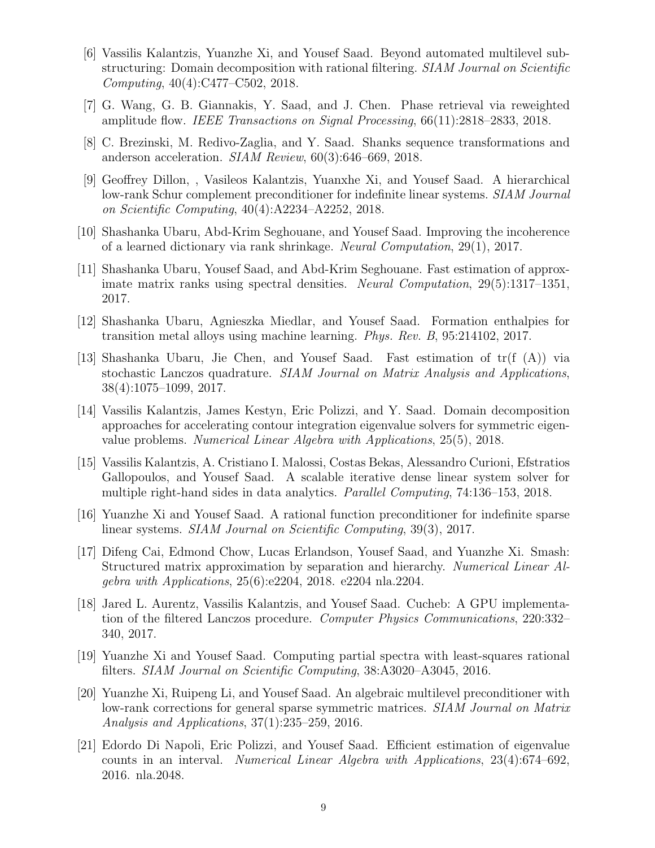- [6] Vassilis Kalantzis, Yuanzhe Xi, and Yousef Saad. Beyond automated multilevel substructuring: Domain decomposition with rational filtering. SIAM Journal on Scientific Computing, 40(4):C477–C502, 2018.
- [7] G. Wang, G. B. Giannakis, Y. Saad, and J. Chen. Phase retrieval via reweighted amplitude flow. IEEE Transactions on Signal Processing, 66(11):2818–2833, 2018.
- [8] C. Brezinski, M. Redivo-Zaglia, and Y. Saad. Shanks sequence transformations and anderson acceleration. SIAM Review, 60(3):646–669, 2018.
- [9] Geoffrey Dillon, , Vasileos Kalantzis, Yuanxhe Xi, and Yousef Saad. A hierarchical low-rank Schur complement preconditioner for indefinite linear systems. SIAM Journal on Scientific Computing, 40(4):A2234–A2252, 2018.
- [10] Shashanka Ubaru, Abd-Krim Seghouane, and Yousef Saad. Improving the incoherence of a learned dictionary via rank shrinkage. Neural Computation, 29(1), 2017.
- [11] Shashanka Ubaru, Yousef Saad, and Abd-Krim Seghouane. Fast estimation of approximate matrix ranks using spectral densities. Neural Computation, 29(5):1317–1351, 2017.
- [12] Shashanka Ubaru, Agnieszka Miedlar, and Yousef Saad. Formation enthalpies for transition metal alloys using machine learning. Phys. Rev. B, 95:214102, 2017.
- [13] Shashanka Ubaru, Jie Chen, and Yousef Saad. Fast estimation of tr(f (A)) via stochastic Lanczos quadrature. SIAM Journal on Matrix Analysis and Applications, 38(4):1075–1099, 2017.
- [14] Vassilis Kalantzis, James Kestyn, Eric Polizzi, and Y. Saad. Domain decomposition approaches for accelerating contour integration eigenvalue solvers for symmetric eigenvalue problems. Numerical Linear Algebra with Applications, 25(5), 2018.
- [15] Vassilis Kalantzis, A. Cristiano I. Malossi, Costas Bekas, Alessandro Curioni, Efstratios Gallopoulos, and Yousef Saad. A scalable iterative dense linear system solver for multiple right-hand sides in data analytics. Parallel Computing, 74:136–153, 2018.
- [16] Yuanzhe Xi and Yousef Saad. A rational function preconditioner for indefinite sparse linear systems. SIAM Journal on Scientific Computing, 39(3), 2017.
- [17] Difeng Cai, Edmond Chow, Lucas Erlandson, Yousef Saad, and Yuanzhe Xi. Smash: Structured matrix approximation by separation and hierarchy. Numerical Linear Algebra with Applications, 25(6):e2204, 2018. e2204 nla.2204.
- [18] Jared L. Aurentz, Vassilis Kalantzis, and Yousef Saad. Cucheb: A GPU implementation of the filtered Lanczos procedure. Computer Physics Communications, 220:332– 340, 2017.
- [19] Yuanzhe Xi and Yousef Saad. Computing partial spectra with least-squares rational filters. SIAM Journal on Scientific Computing, 38:A3020–A3045, 2016.
- [20] Yuanzhe Xi, Ruipeng Li, and Yousef Saad. An algebraic multilevel preconditioner with low-rank corrections for general sparse symmetric matrices. SIAM Journal on Matrix Analysis and Applications, 37(1):235–259, 2016.
- [21] Edordo Di Napoli, Eric Polizzi, and Yousef Saad. Efficient estimation of eigenvalue counts in an interval. Numerical Linear Algebra with Applications, 23(4):674–692, 2016. nla.2048.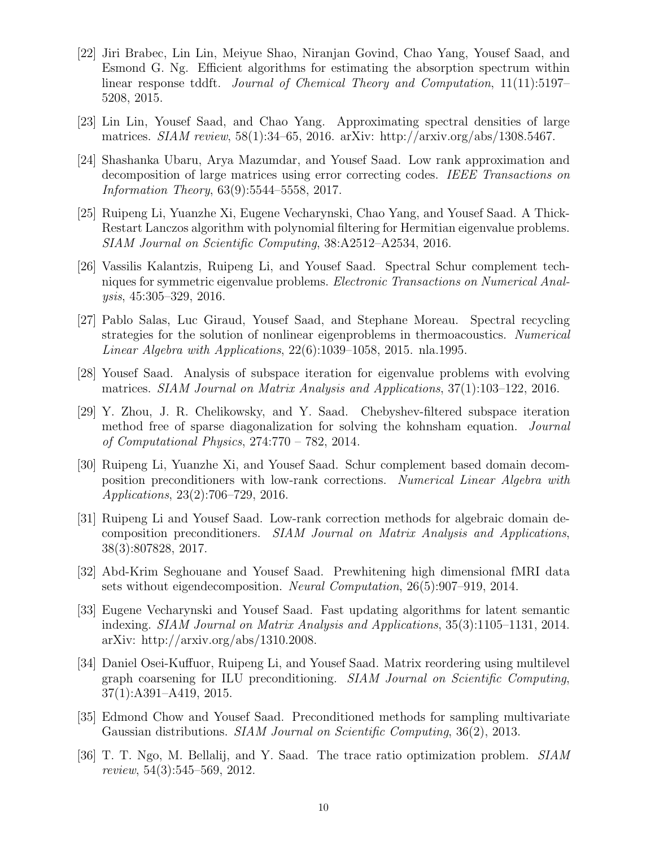- [22] Jiri Brabec, Lin Lin, Meiyue Shao, Niranjan Govind, Chao Yang, Yousef Saad, and Esmond G. Ng. Efficient algorithms for estimating the absorption spectrum within linear response tddft. Journal of Chemical Theory and Computation, 11(11):5197– 5208, 2015.
- [23] Lin Lin, Yousef Saad, and Chao Yang. Approximating spectral densities of large matrices. SIAM review, 58(1):34–65, 2016. arXiv: http://arxiv.org/abs/1308.5467.
- [24] Shashanka Ubaru, Arya Mazumdar, and Yousef Saad. Low rank approximation and decomposition of large matrices using error correcting codes. IEEE Transactions on Information Theory, 63(9):5544–5558, 2017.
- [25] Ruipeng Li, Yuanzhe Xi, Eugene Vecharynski, Chao Yang, and Yousef Saad. A Thick-Restart Lanczos algorithm with polynomial filtering for Hermitian eigenvalue problems. SIAM Journal on Scientific Computing, 38:A2512–A2534, 2016.
- [26] Vassilis Kalantzis, Ruipeng Li, and Yousef Saad. Spectral Schur complement techniques for symmetric eigenvalue problems. Electronic Transactions on Numerical Analysis, 45:305–329, 2016.
- [27] Pablo Salas, Luc Giraud, Yousef Saad, and Stephane Moreau. Spectral recycling strategies for the solution of nonlinear eigenproblems in thermoacoustics. Numerical Linear Algebra with Applications, 22(6):1039–1058, 2015. nla.1995.
- [28] Yousef Saad. Analysis of subspace iteration for eigenvalue problems with evolving matrices. SIAM Journal on Matrix Analysis and Applications, 37(1):103–122, 2016.
- [29] Y. Zhou, J. R. Chelikowsky, and Y. Saad. Chebyshev-filtered subspace iteration method free of sparse diagonalization for solving the kohnsham equation. Journal of Computational Physics, 274:770 – 782, 2014.
- [30] Ruipeng Li, Yuanzhe Xi, and Yousef Saad. Schur complement based domain decomposition preconditioners with low-rank corrections. Numerical Linear Algebra with Applications, 23(2):706–729, 2016.
- [31] Ruipeng Li and Yousef Saad. Low-rank correction methods for algebraic domain decomposition preconditioners. SIAM Journal on Matrix Analysis and Applications, 38(3):807828, 2017.
- [32] Abd-Krim Seghouane and Yousef Saad. Prewhitening high dimensional fMRI data sets without eigendecomposition. Neural Computation, 26(5):907–919, 2014.
- [33] Eugene Vecharynski and Yousef Saad. Fast updating algorithms for latent semantic indexing. SIAM Journal on Matrix Analysis and Applications, 35(3):1105–1131, 2014. arXiv: http://arxiv.org/abs/1310.2008.
- [34] Daniel Osei-Kuffuor, Ruipeng Li, and Yousef Saad. Matrix reordering using multilevel graph coarsening for ILU preconditioning. SIAM Journal on Scientific Computing, 37(1):A391–A419, 2015.
- [35] Edmond Chow and Yousef Saad. Preconditioned methods for sampling multivariate Gaussian distributions. SIAM Journal on Scientific Computing, 36(2), 2013.
- [36] T. T. Ngo, M. Bellalij, and Y. Saad. The trace ratio optimization problem. SIAM review, 54(3):545–569, 2012.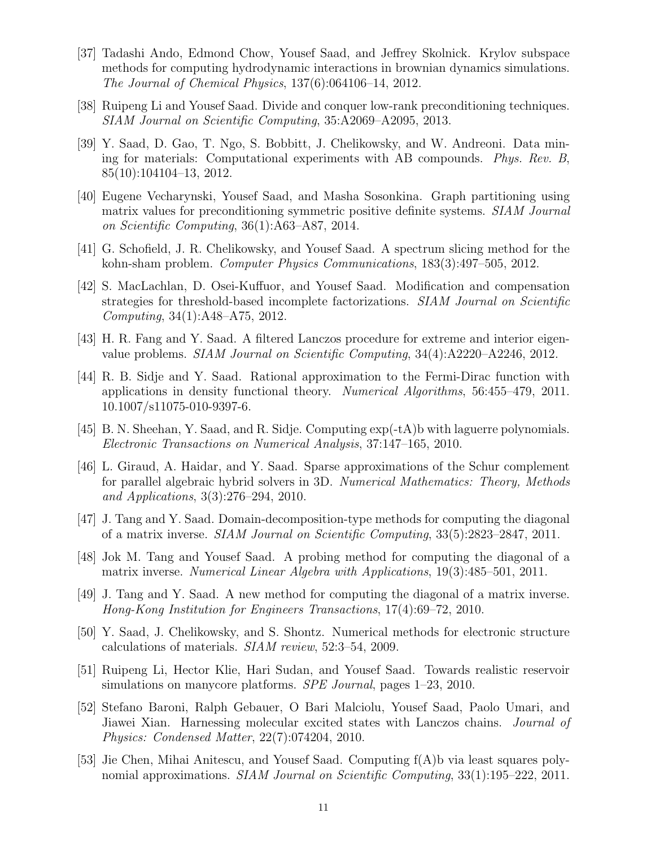- [37] Tadashi Ando, Edmond Chow, Yousef Saad, and Jeffrey Skolnick. Krylov subspace methods for computing hydrodynamic interactions in brownian dynamics simulations. The Journal of Chemical Physics, 137(6):064106–14, 2012.
- [38] Ruipeng Li and Yousef Saad. Divide and conquer low-rank preconditioning techniques. SIAM Journal on Scientific Computing, 35:A2069–A2095, 2013.
- [39] Y. Saad, D. Gao, T. Ngo, S. Bobbitt, J. Chelikowsky, and W. Andreoni. Data mining for materials: Computational experiments with AB compounds. Phys. Rev. B, 85(10):104104–13, 2012.
- [40] Eugene Vecharynski, Yousef Saad, and Masha Sosonkina. Graph partitioning using matrix values for preconditioning symmetric positive definite systems. SIAM Journal on Scientific Computing, 36(1):A63–A87, 2014.
- [41] G. Schofield, J. R. Chelikowsky, and Yousef Saad. A spectrum slicing method for the kohn-sham problem. Computer Physics Communications, 183(3):497–505, 2012.
- [42] S. MacLachlan, D. Osei-Kuffuor, and Yousef Saad. Modification and compensation strategies for threshold-based incomplete factorizations. SIAM Journal on Scientific Computing, 34(1):A48–A75, 2012.
- [43] H. R. Fang and Y. Saad. A filtered Lanczos procedure for extreme and interior eigenvalue problems. SIAM Journal on Scientific Computing, 34(4):A2220–A2246, 2012.
- [44] R. B. Sidje and Y. Saad. Rational approximation to the Fermi-Dirac function with applications in density functional theory. Numerical Algorithms, 56:455–479, 2011. 10.1007/s11075-010-9397-6.
- [45] B. N. Sheehan, Y. Saad, and R. Sidje. Computing exp(-tA)b with laguerre polynomials. Electronic Transactions on Numerical Analysis, 37:147–165, 2010.
- [46] L. Giraud, A. Haidar, and Y. Saad. Sparse approximations of the Schur complement for parallel algebraic hybrid solvers in 3D. Numerical Mathematics: Theory, Methods and Applications, 3(3):276–294, 2010.
- [47] J. Tang and Y. Saad. Domain-decomposition-type methods for computing the diagonal of a matrix inverse. SIAM Journal on Scientific Computing, 33(5):2823–2847, 2011.
- [48] Jok M. Tang and Yousef Saad. A probing method for computing the diagonal of a matrix inverse. Numerical Linear Algebra with Applications, 19(3):485–501, 2011.
- [49] J. Tang and Y. Saad. A new method for computing the diagonal of a matrix inverse. Hong-Kong Institution for Engineers Transactions, 17(4):69–72, 2010.
- [50] Y. Saad, J. Chelikowsky, and S. Shontz. Numerical methods for electronic structure calculations of materials. SIAM review, 52:3–54, 2009.
- [51] Ruipeng Li, Hector Klie, Hari Sudan, and Yousef Saad. Towards realistic reservoir simulations on manycore platforms. *SPE Journal*, pages 1–23, 2010.
- [52] Stefano Baroni, Ralph Gebauer, O Bari Malciolu, Yousef Saad, Paolo Umari, and Jiawei Xian. Harnessing molecular excited states with Lanczos chains. *Journal of* Physics: Condensed Matter, 22(7):074204, 2010.
- [53] Jie Chen, Mihai Anitescu, and Yousef Saad. Computing f(A)b via least squares polynomial approximations. SIAM Journal on Scientific Computing, 33(1):195–222, 2011.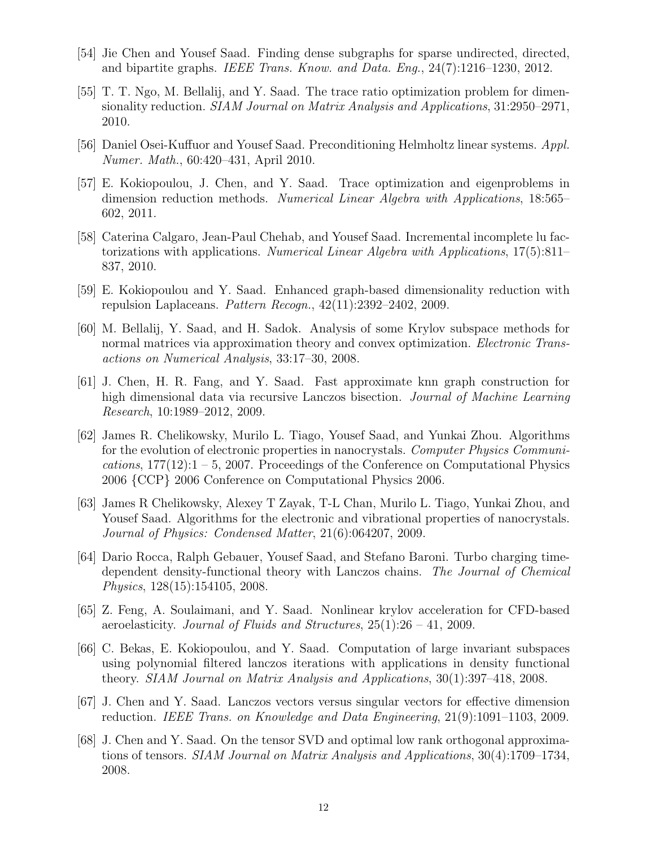- [54] Jie Chen and Yousef Saad. Finding dense subgraphs for sparse undirected, directed, and bipartite graphs. IEEE Trans. Know. and Data. Eng., 24(7):1216–1230, 2012.
- [55] T. T. Ngo, M. Bellalij, and Y. Saad. The trace ratio optimization problem for dimensionality reduction. SIAM Journal on Matrix Analysis and Applications, 31:2950–2971, 2010.
- [56] Daniel Osei-Kuffuor and Yousef Saad. Preconditioning Helmholtz linear systems. Appl. Numer. Math., 60:420–431, April 2010.
- [57] E. Kokiopoulou, J. Chen, and Y. Saad. Trace optimization and eigenproblems in dimension reduction methods. Numerical Linear Algebra with Applications, 18:565– 602, 2011.
- [58] Caterina Calgaro, Jean-Paul Chehab, and Yousef Saad. Incremental incomplete lu factorizations with applications. Numerical Linear Algebra with Applications, 17(5):811– 837, 2010.
- [59] E. Kokiopoulou and Y. Saad. Enhanced graph-based dimensionality reduction with repulsion Laplaceans. Pattern Recogn.,  $42(11):2392-2402$ , 2009.
- [60] M. Bellalij, Y. Saad, and H. Sadok. Analysis of some Krylov subspace methods for normal matrices via approximation theory and convex optimization. *Electronic Trans*actions on Numerical Analysis, 33:17–30, 2008.
- [61] J. Chen, H. R. Fang, and Y. Saad. Fast approximate knn graph construction for high dimensional data via recursive Lanczos bisection. Journal of Machine Learning Research, 10:1989–2012, 2009.
- [62] James R. Chelikowsky, Murilo L. Tiago, Yousef Saad, and Yunkai Zhou. Algorithms for the evolution of electronic properties in nanocrystals. Computer Physics Communications,  $177(12)$ :1 – 5, 2007. Proceedings of the Conference on Computational Physics 2006 {CCP} 2006 Conference on Computational Physics 2006.
- [63] James R Chelikowsky, Alexey T Zayak, T-L Chan, Murilo L. Tiago, Yunkai Zhou, and Yousef Saad. Algorithms for the electronic and vibrational properties of nanocrystals. Journal of Physics: Condensed Matter, 21(6):064207, 2009.
- [64] Dario Rocca, Ralph Gebauer, Yousef Saad, and Stefano Baroni. Turbo charging timedependent density-functional theory with Lanczos chains. The Journal of Chemical Physics, 128(15):154105, 2008.
- [65] Z. Feng, A. Soulaimani, and Y. Saad. Nonlinear krylov acceleration for CFD-based aeroelasticity. Journal of Fluids and Structures,  $25(1):26 - 41$ , 2009.
- [66] C. Bekas, E. Kokiopoulou, and Y. Saad. Computation of large invariant subspaces using polynomial filtered lanczos iterations with applications in density functional theory. SIAM Journal on Matrix Analysis and Applications, 30(1):397–418, 2008.
- [67] J. Chen and Y. Saad. Lanczos vectors versus singular vectors for effective dimension reduction. IEEE Trans. on Knowledge and Data Engineering, 21(9):1091–1103, 2009.
- [68] J. Chen and Y. Saad. On the tensor SVD and optimal low rank orthogonal approximations of tensors. SIAM Journal on Matrix Analysis and Applications, 30(4):1709–1734, 2008.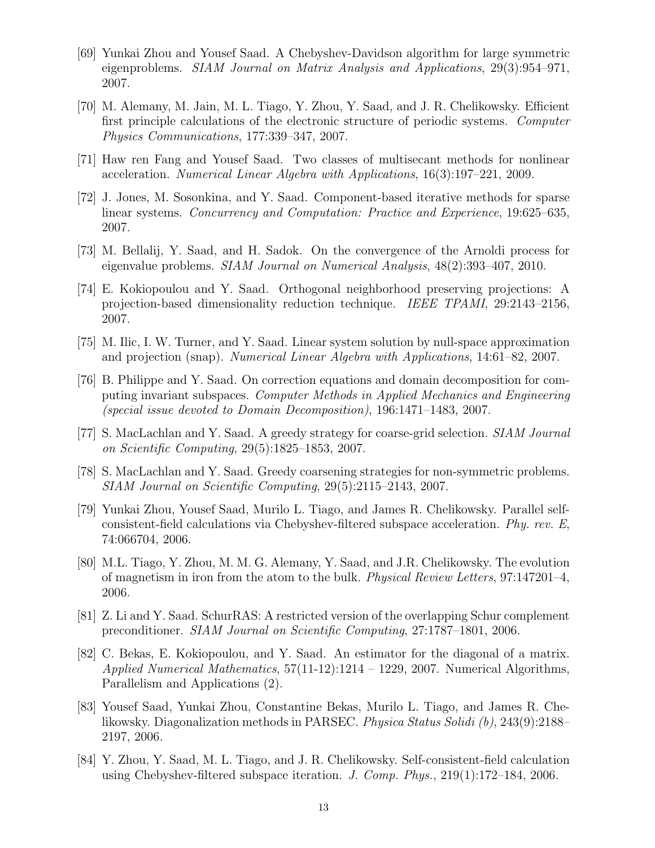- [69] Yunkai Zhou and Yousef Saad. A Chebyshev-Davidson algorithm for large symmetric eigenproblems. SIAM Journal on Matrix Analysis and Applications, 29(3):954–971, 2007.
- [70] M. Alemany, M. Jain, M. L. Tiago, Y. Zhou, Y. Saad, and J. R. Chelikowsky. Efficient first principle calculations of the electronic structure of periodic systems. Computer Physics Communications, 177:339–347, 2007.
- [71] Haw ren Fang and Yousef Saad. Two classes of multisecant methods for nonlinear acceleration. Numerical Linear Algebra with Applications, 16(3):197–221, 2009.
- [72] J. Jones, M. Sosonkina, and Y. Saad. Component-based iterative methods for sparse linear systems. Concurrency and Computation: Practice and Experience, 19:625–635, 2007.
- [73] M. Bellalij, Y. Saad, and H. Sadok. On the convergence of the Arnoldi process for eigenvalue problems. SIAM Journal on Numerical Analysis, 48(2):393–407, 2010.
- [74] E. Kokiopoulou and Y. Saad. Orthogonal neighborhood preserving projections: A projection-based dimensionality reduction technique. IEEE TPAMI, 29:2143–2156, 2007.
- [75] M. Ilic, I. W. Turner, and Y. Saad. Linear system solution by null-space approximation and projection (snap). Numerical Linear Algebra with Applications, 14:61–82, 2007.
- [76] B. Philippe and Y. Saad. On correction equations and domain decomposition for computing invariant subspaces. Computer Methods in Applied Mechanics and Engineering (special issue devoted to Domain Decomposition), 196:1471–1483, 2007.
- [77] S. MacLachlan and Y. Saad. A greedy strategy for coarse-grid selection. SIAM Journal on Scientific Computing, 29(5):1825–1853, 2007.
- [78] S. MacLachlan and Y. Saad. Greedy coarsening strategies for non-symmetric problems. SIAM Journal on Scientific Computing, 29(5):2115–2143, 2007.
- [79] Yunkai Zhou, Yousef Saad, Murilo L. Tiago, and James R. Chelikowsky. Parallel selfconsistent-field calculations via Chebyshev-filtered subspace acceleration. Phy. rev. E, 74:066704, 2006.
- [80] M.L. Tiago, Y. Zhou, M. M. G. Alemany, Y. Saad, and J.R. Chelikowsky. The evolution of magnetism in iron from the atom to the bulk. Physical Review Letters, 97:147201–4, 2006.
- [81] Z. Li and Y. Saad. SchurRAS: A restricted version of the overlapping Schur complement preconditioner. SIAM Journal on Scientific Computing, 27:1787–1801, 2006.
- [82] C. Bekas, E. Kokiopoulou, and Y. Saad. An estimator for the diagonal of a matrix. Applied Numerical Mathematics,  $57(11-12):1214 - 1229$ , 2007. Numerical Algorithms, Parallelism and Applications (2).
- [83] Yousef Saad, Yunkai Zhou, Constantine Bekas, Murilo L. Tiago, and James R. Chelikowsky. Diagonalization methods in PARSEC. Physica Status Solidi (b), 243(9):2188– 2197, 2006.
- [84] Y. Zhou, Y. Saad, M. L. Tiago, and J. R. Chelikowsky. Self-consistent-field calculation using Chebyshev-filtered subspace iteration. J. Comp. Phys.,  $219(1):172-184$ , 2006.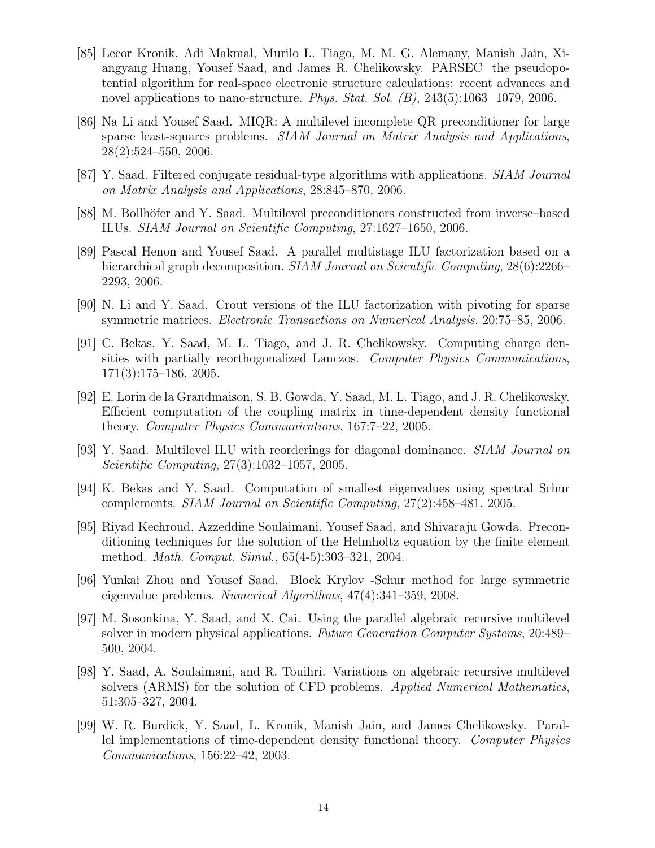- [85] Leeor Kronik, Adi Makmal, Murilo L. Tiago, M. M. G. Alemany, Manish Jain, Xiangyang Huang, Yousef Saad, and James R. Chelikowsky. PARSEC the pseudopotential algorithm for real-space electronic structure calculations: recent advances and novel applications to nano-structure. *Phys. Stat. Sol.* (*B*), 243(5):1063 1079, 2006.
- [86] Na Li and Yousef Saad. MIQR: A multilevel incomplete QR preconditioner for large sparse least-squares problems. *SIAM Journal on Matrix Analysis and Applications*, 28(2):524–550, 2006.
- [87] Y. Saad. Filtered conjugate residual-type algorithms with applications. SIAM Journal on Matrix Analysis and Applications, 28:845–870, 2006.
- [88] M. Bollhöfer and Y. Saad. Multilevel preconditioners constructed from inverse–based ILUs. SIAM Journal on Scientific Computing, 27:1627–1650, 2006.
- [89] Pascal Henon and Yousef Saad. A parallel multistage ILU factorization based on a hierarchical graph decomposition. *SIAM Journal on Scientific Computing*, 28(6):2266– 2293, 2006.
- [90] N. Li and Y. Saad. Crout versions of the ILU factorization with pivoting for sparse symmetric matrices. Electronic Transactions on Numerical Analysis, 20:75–85, 2006.
- [91] C. Bekas, Y. Saad, M. L. Tiago, and J. R. Chelikowsky. Computing charge densities with partially reorthogonalized Lanczos. Computer Physics Communications, 171(3):175–186, 2005.
- [92] E. Lorin de la Grandmaison, S. B. Gowda, Y. Saad, M. L. Tiago, and J. R. Chelikowsky. Efficient computation of the coupling matrix in time-dependent density functional theory. Computer Physics Communications, 167:7–22, 2005.
- [93] Y. Saad. Multilevel ILU with reorderings for diagonal dominance. SIAM Journal on Scientific Computing, 27(3):1032–1057, 2005.
- [94] K. Bekas and Y. Saad. Computation of smallest eigenvalues using spectral Schur complements. SIAM Journal on Scientific Computing, 27(2):458–481, 2005.
- [95] Riyad Kechroud, Azzeddine Soulaimani, Yousef Saad, and Shivaraju Gowda. Preconditioning techniques for the solution of the Helmholtz equation by the finite element method. Math. Comput. Simul., 65(4-5):303–321, 2004.
- [96] Yunkai Zhou and Yousef Saad. Block Krylov -Schur method for large symmetric eigenvalue problems. Numerical Algorithms, 47(4):341–359, 2008.
- [97] M. Sosonkina, Y. Saad, and X. Cai. Using the parallel algebraic recursive multilevel solver in modern physical applications. Future Generation Computer Systems, 20:489– 500, 2004.
- [98] Y. Saad, A. Soulaimani, and R. Touihri. Variations on algebraic recursive multilevel solvers (ARMS) for the solution of CFD problems. Applied Numerical Mathematics, 51:305–327, 2004.
- [99] W. R. Burdick, Y. Saad, L. Kronik, Manish Jain, and James Chelikowsky. Parallel implementations of time-dependent density functional theory. Computer Physics Communications, 156:22–42, 2003.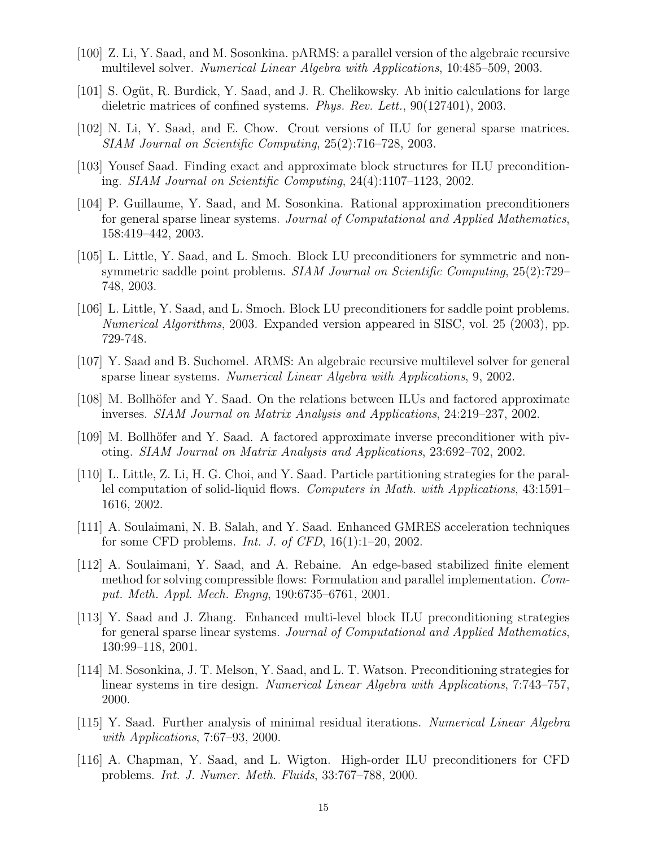- [100] Z. Li, Y. Saad, and M. Sosonkina. pARMS: a parallel version of the algebraic recursive multilevel solver. Numerical Linear Algebra with Applications, 10:485–509, 2003.
- [101] S. Ogüt, R. Burdick, Y. Saad, and J. R. Chelikowsky. Ab initio calculations for large dieletric matrices of confined systems. *Phys. Rev. Lett.*, 90(127401), 2003.
- [102] N. Li, Y. Saad, and E. Chow. Crout versions of ILU for general sparse matrices. SIAM Journal on Scientific Computing, 25(2):716–728, 2003.
- [103] Yousef Saad. Finding exact and approximate block structures for ILU preconditioning. SIAM Journal on Scientific Computing, 24(4):1107–1123, 2002.
- [104] P. Guillaume, Y. Saad, and M. Sosonkina. Rational approximation preconditioners for general sparse linear systems. Journal of Computational and Applied Mathematics, 158:419–442, 2003.
- [105] L. Little, Y. Saad, and L. Smoch. Block LU preconditioners for symmetric and nonsymmetric saddle point problems. SIAM Journal on Scientific Computing, 25(2):729– 748, 2003.
- [106] L. Little, Y. Saad, and L. Smoch. Block LU preconditioners for saddle point problems. Numerical Algorithms, 2003. Expanded version appeared in SISC, vol. 25 (2003), pp. 729-748.
- [107] Y. Saad and B. Suchomel. ARMS: An algebraic recursive multilevel solver for general sparse linear systems. Numerical Linear Algebra with Applications, 9, 2002.
- [108] M. Bollhöfer and Y. Saad. On the relations between ILUs and factored approximate inverses. SIAM Journal on Matrix Analysis and Applications, 24:219–237, 2002.
- [109] M. Bollhöfer and Y. Saad. A factored approximate inverse preconditioner with pivoting. SIAM Journal on Matrix Analysis and Applications, 23:692–702, 2002.
- [110] L. Little, Z. Li, H. G. Choi, and Y. Saad. Particle partitioning strategies for the parallel computation of solid-liquid flows. Computers in Math. with Applications, 43:1591– 1616, 2002.
- [111] A. Soulaimani, N. B. Salah, and Y. Saad. Enhanced GMRES acceleration techniques for some CFD problems. *Int. J. of CFD*,  $16(1):1-20$ ,  $2002$ .
- [112] A. Soulaimani, Y. Saad, and A. Rebaine. An edge-based stabilized finite element method for solving compressible flows: Formulation and parallel implementation. Comput. Meth. Appl. Mech. Engng, 190:6735–6761, 2001.
- [113] Y. Saad and J. Zhang. Enhanced multi-level block ILU preconditioning strategies for general sparse linear systems. Journal of Computational and Applied Mathematics, 130:99–118, 2001.
- [114] M. Sosonkina, J. T. Melson, Y. Saad, and L. T. Watson. Preconditioning strategies for linear systems in tire design. Numerical Linear Algebra with Applications, 7:743–757, 2000.
- [115] Y. Saad. Further analysis of minimal residual iterations. Numerical Linear Algebra with Applications, 7:67–93, 2000.
- [116] A. Chapman, Y. Saad, and L. Wigton. High-order ILU preconditioners for CFD problems. Int. J. Numer. Meth. Fluids, 33:767–788, 2000.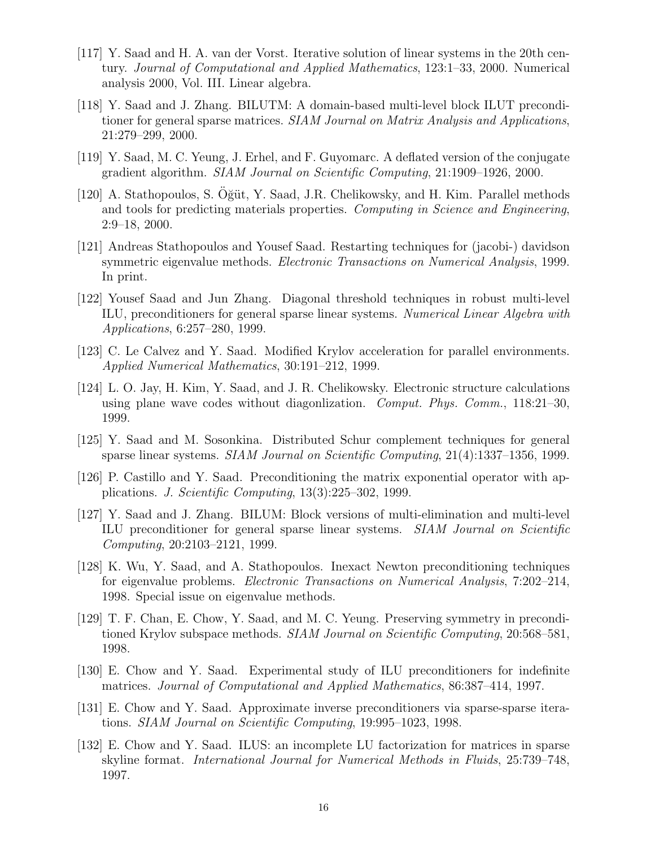- [117] Y. Saad and H. A. van der Vorst. Iterative solution of linear systems in the 20th century. Journal of Computational and Applied Mathematics, 123:1–33, 2000. Numerical analysis 2000, Vol. III. Linear algebra.
- [118] Y. Saad and J. Zhang. BILUTM: A domain-based multi-level block ILUT preconditioner for general sparse matrices. *SIAM Journal on Matrix Analysis and Applications*, 21:279–299, 2000.
- [119] Y. Saad, M. C. Yeung, J. Erhel, and F. Guyomarc. A deflated version of the conjugate gradient algorithm. SIAM Journal on Scientific Computing, 21:1909–1926, 2000.
- [120] A. Stathopoulos, S. Oğüt, Y. Saad, J.R. Chelikowsky, and H. Kim. Parallel methods and tools for predicting materials properties. Computing in Science and Engineering, 2:9–18, 2000.
- [121] Andreas Stathopoulos and Yousef Saad. Restarting techniques for (jacobi-) davidson symmetric eigenvalue methods. Electronic Transactions on Numerical Analysis, 1999. In print.
- [122] Yousef Saad and Jun Zhang. Diagonal threshold techniques in robust multi-level ILU, preconditioners for general sparse linear systems. Numerical Linear Algebra with Applications, 6:257–280, 1999.
- [123] C. Le Calvez and Y. Saad. Modified Krylov acceleration for parallel environments. Applied Numerical Mathematics, 30:191–212, 1999.
- [124] L. O. Jay, H. Kim, Y. Saad, and J. R. Chelikowsky. Electronic structure calculations using plane wave codes without diagonlization. Comput. Phys. Comm., 118:21–30, 1999.
- [125] Y. Saad and M. Sosonkina. Distributed Schur complement techniques for general sparse linear systems. SIAM Journal on Scientific Computing, 21(4):1337–1356, 1999.
- [126] P. Castillo and Y. Saad. Preconditioning the matrix exponential operator with applications. J. Scientific Computing, 13(3):225–302, 1999.
- [127] Y. Saad and J. Zhang. BILUM: Block versions of multi-elimination and multi-level ILU preconditioner for general sparse linear systems. SIAM Journal on Scientific Computing, 20:2103–2121, 1999.
- [128] K. Wu, Y. Saad, and A. Stathopoulos. Inexact Newton preconditioning techniques for eigenvalue problems. Electronic Transactions on Numerical Analysis, 7:202–214, 1998. Special issue on eigenvalue methods.
- [129] T. F. Chan, E. Chow, Y. Saad, and M. C. Yeung. Preserving symmetry in preconditioned Krylov subspace methods. *SIAM Journal on Scientific Computing*, 20:568–581, 1998.
- [130] E. Chow and Y. Saad. Experimental study of ILU preconditioners for indefinite matrices. Journal of Computational and Applied Mathematics, 86:387–414, 1997.
- [131] E. Chow and Y. Saad. Approximate inverse preconditioners via sparse-sparse iterations. SIAM Journal on Scientific Computing, 19:995–1023, 1998.
- [132] E. Chow and Y. Saad. ILUS: an incomplete LU factorization for matrices in sparse skyline format. International Journal for Numerical Methods in Fluids, 25:739–748, 1997.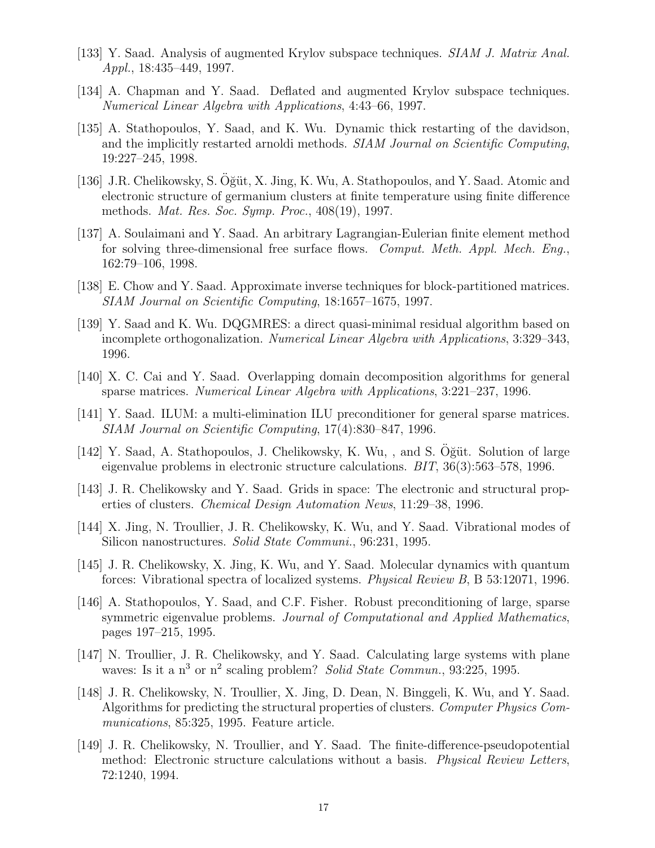- [133] Y. Saad. Analysis of augmented Krylov subspace techniques. SIAM J. Matrix Anal. Appl., 18:435–449, 1997.
- [134] A. Chapman and Y. Saad. Deflated and augmented Krylov subspace techniques. Numerical Linear Algebra with Applications, 4:43–66, 1997.
- [135] A. Stathopoulos, Y. Saad, and K. Wu. Dynamic thick restarting of the davidson, and the implicitly restarted arnoldi methods. SIAM Journal on Scientific Computing, 19:227–245, 1998.
- [136] J.R. Chelikowsky, S. Oğüt, X. Jing, K. Wu, A. Stathopoulos, and Y. Saad. Atomic and electronic structure of germanium clusters at finite temperature using finite difference methods. Mat. Res. Soc. Symp. Proc., 408(19), 1997.
- [137] A. Soulaimani and Y. Saad. An arbitrary Lagrangian-Eulerian finite element method for solving three-dimensional free surface flows. Comput. Meth. Appl. Mech. Eng., 162:79–106, 1998.
- [138] E. Chow and Y. Saad. Approximate inverse techniques for block-partitioned matrices. SIAM Journal on Scientific Computing, 18:1657–1675, 1997.
- [139] Y. Saad and K. Wu. DQGMRES: a direct quasi-minimal residual algorithm based on incomplete orthogonalization. Numerical Linear Algebra with Applications, 3:329–343, 1996.
- [140] X. C. Cai and Y. Saad. Overlapping domain decomposition algorithms for general sparse matrices. Numerical Linear Algebra with Applications, 3:221–237, 1996.
- [141] Y. Saad. ILUM: a multi-elimination ILU preconditioner for general sparse matrices. SIAM Journal on Scientific Computing, 17(4):830–847, 1996.
- [142] Y. Saad, A. Stathopoulos, J. Chelikowsky, K. Wu, , and S. Oğüt. Solution of large eigenvalue problems in electronic structure calculations. BIT, 36(3):563–578, 1996.
- [143] J. R. Chelikowsky and Y. Saad. Grids in space: The electronic and structural properties of clusters. Chemical Design Automation News, 11:29–38, 1996.
- [144] X. Jing, N. Troullier, J. R. Chelikowsky, K. Wu, and Y. Saad. Vibrational modes of Silicon nanostructures. Solid State Communi., 96:231, 1995.
- [145] J. R. Chelikowsky, X. Jing, K. Wu, and Y. Saad. Molecular dynamics with quantum forces: Vibrational spectra of localized systems. Physical Review B, B 53:12071, 1996.
- [146] A. Stathopoulos, Y. Saad, and C.F. Fisher. Robust preconditioning of large, sparse symmetric eigenvalue problems. Journal of Computational and Applied Mathematics, pages 197–215, 1995.
- [147] N. Troullier, J. R. Chelikowsky, and Y. Saad. Calculating large systems with plane waves: Is it a  $n^3$  or  $n^2$  scaling problem? Solid State Commun., 93:225, 1995.
- [148] J. R. Chelikowsky, N. Troullier, X. Jing, D. Dean, N. Binggeli, K. Wu, and Y. Saad. Algorithms for predicting the structural properties of clusters. Computer Physics Communications, 85:325, 1995. Feature article.
- [149] J. R. Chelikowsky, N. Troullier, and Y. Saad. The finite-difference-pseudopotential method: Electronic structure calculations without a basis. Physical Review Letters, 72:1240, 1994.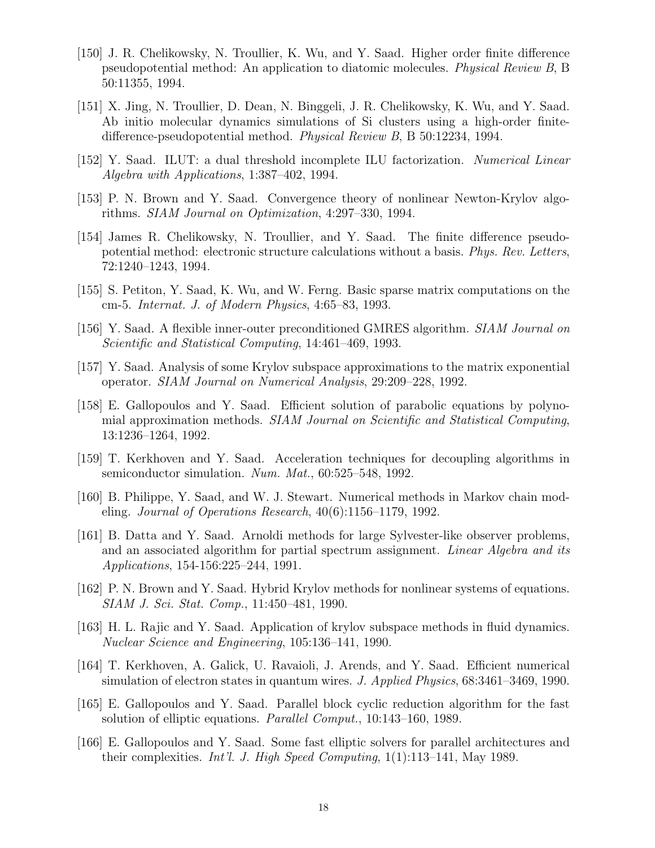- [150] J. R. Chelikowsky, N. Troullier, K. Wu, and Y. Saad. Higher order finite difference pseudopotential method: An application to diatomic molecules. Physical Review B, B 50:11355, 1994.
- [151] X. Jing, N. Troullier, D. Dean, N. Binggeli, J. R. Chelikowsky, K. Wu, and Y. Saad. Ab initio molecular dynamics simulations of Si clusters using a high-order finitedifference-pseudopotential method. Physical Review B, B 50:12234, 1994.
- [152] Y. Saad. ILUT: a dual threshold incomplete ILU factorization. Numerical Linear Algebra with Applications, 1:387–402, 1994.
- [153] P. N. Brown and Y. Saad. Convergence theory of nonlinear Newton-Krylov algorithms. SIAM Journal on Optimization, 4:297–330, 1994.
- [154] James R. Chelikowsky, N. Troullier, and Y. Saad. The finite difference pseudopotential method: electronic structure calculations without a basis. Phys. Rev. Letters, 72:1240–1243, 1994.
- [155] S. Petiton, Y. Saad, K. Wu, and W. Ferng. Basic sparse matrix computations on the cm-5. Internat. J. of Modern Physics, 4:65–83, 1993.
- [156] Y. Saad. A flexible inner-outer preconditioned GMRES algorithm. SIAM Journal on Scientific and Statistical Computing, 14:461–469, 1993.
- [157] Y. Saad. Analysis of some Krylov subspace approximations to the matrix exponential operator. SIAM Journal on Numerical Analysis, 29:209–228, 1992.
- [158] E. Gallopoulos and Y. Saad. Efficient solution of parabolic equations by polynomial approximation methods. SIAM Journal on Scientific and Statistical Computing, 13:1236–1264, 1992.
- [159] T. Kerkhoven and Y. Saad. Acceleration techniques for decoupling algorithms in semiconductor simulation. Num. Mat., 60:525–548, 1992.
- [160] B. Philippe, Y. Saad, and W. J. Stewart. Numerical methods in Markov chain modeling. Journal of Operations Research, 40(6):1156–1179, 1992.
- [161] B. Datta and Y. Saad. Arnoldi methods for large Sylvester-like observer problems, and an associated algorithm for partial spectrum assignment. Linear Algebra and its Applications, 154-156:225–244, 1991.
- [162] P. N. Brown and Y. Saad. Hybrid Krylov methods for nonlinear systems of equations. SIAM J. Sci. Stat. Comp., 11:450–481, 1990.
- [163] H. L. Rajic and Y. Saad. Application of krylov subspace methods in fluid dynamics. Nuclear Science and Engineering, 105:136–141, 1990.
- [164] T. Kerkhoven, A. Galick, U. Ravaioli, J. Arends, and Y. Saad. Efficient numerical simulation of electron states in quantum wires. J. Applied Physics, 68:3461–3469, 1990.
- [165] E. Gallopoulos and Y. Saad. Parallel block cyclic reduction algorithm for the fast solution of elliptic equations. Parallel Comput., 10:143–160, 1989.
- [166] E. Gallopoulos and Y. Saad. Some fast elliptic solvers for parallel architectures and their complexities. Int'l. J. High Speed Computing,  $1(1):113-141$ , May 1989.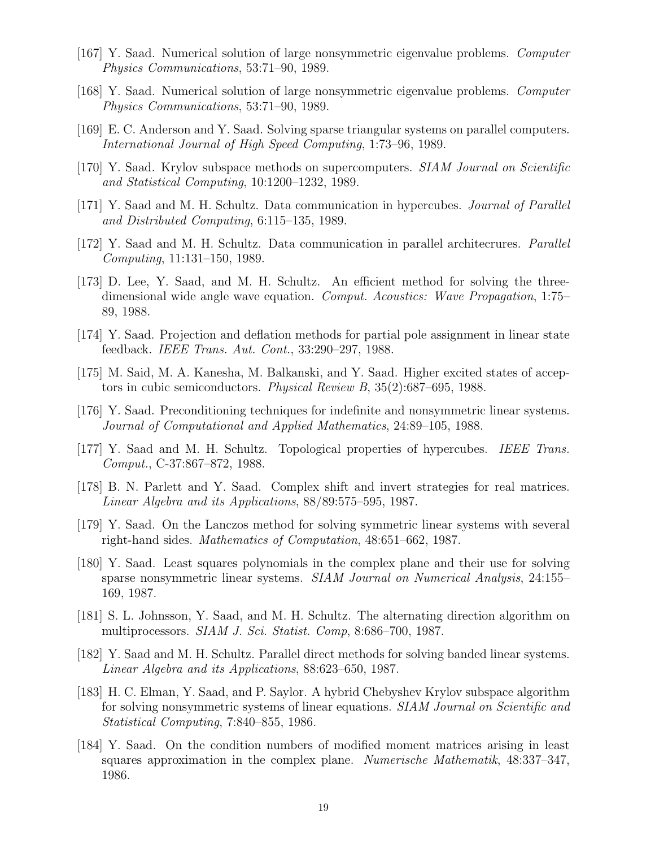- [167] Y. Saad. Numerical solution of large nonsymmetric eigenvalue problems. Computer Physics Communications, 53:71–90, 1989.
- [168] Y. Saad. Numerical solution of large nonsymmetric eigenvalue problems. Computer Physics Communications, 53:71–90, 1989.
- [169] E. C. Anderson and Y. Saad. Solving sparse triangular systems on parallel computers. International Journal of High Speed Computing, 1:73–96, 1989.
- [170] Y. Saad. Krylov subspace methods on supercomputers. SIAM Journal on Scientific and Statistical Computing, 10:1200–1232, 1989.
- [171] Y. Saad and M. H. Schultz. Data communication in hypercubes. Journal of Parallel and Distributed Computing, 6:115–135, 1989.
- [172] Y. Saad and M. H. Schultz. Data communication in parallel architecrures. Parallel Computing, 11:131–150, 1989.
- [173] D. Lee, Y. Saad, and M. H. Schultz. An efficient method for solving the threedimensional wide angle wave equation. Comput. Acoustics: Wave Propagation, 1:75– 89, 1988.
- [174] Y. Saad. Projection and deflation methods for partial pole assignment in linear state feedback. IEEE Trans. Aut. Cont., 33:290–297, 1988.
- [175] M. Said, M. A. Kanesha, M. Balkanski, and Y. Saad. Higher excited states of acceptors in cubic semiconductors. Physical Review B, 35(2):687–695, 1988.
- [176] Y. Saad. Preconditioning techniques for indefinite and nonsymmetric linear systems. Journal of Computational and Applied Mathematics, 24:89–105, 1988.
- [177] Y. Saad and M. H. Schultz. Topological properties of hypercubes. IEEE Trans. Comput., C-37:867–872, 1988.
- [178] B. N. Parlett and Y. Saad. Complex shift and invert strategies for real matrices. Linear Algebra and its Applications, 88/89:575–595, 1987.
- [179] Y. Saad. On the Lanczos method for solving symmetric linear systems with several right-hand sides. Mathematics of Computation, 48:651–662, 1987.
- [180] Y. Saad. Least squares polynomials in the complex plane and their use for solving sparse nonsymmetric linear systems. SIAM Journal on Numerical Analysis, 24:155– 169, 1987.
- [181] S. L. Johnsson, Y. Saad, and M. H. Schultz. The alternating direction algorithm on multiprocessors. SIAM J. Sci. Statist. Comp, 8:686–700, 1987.
- [182] Y. Saad and M. H. Schultz. Parallel direct methods for solving banded linear systems. Linear Algebra and its Applications, 88:623–650, 1987.
- [183] H. C. Elman, Y. Saad, and P. Saylor. A hybrid Chebyshev Krylov subspace algorithm for solving nonsymmetric systems of linear equations. *SIAM Journal on Scientific and* Statistical Computing, 7:840–855, 1986.
- [184] Y. Saad. On the condition numbers of modified moment matrices arising in least squares approximation in the complex plane. Numerische Mathematik, 48:337–347, 1986.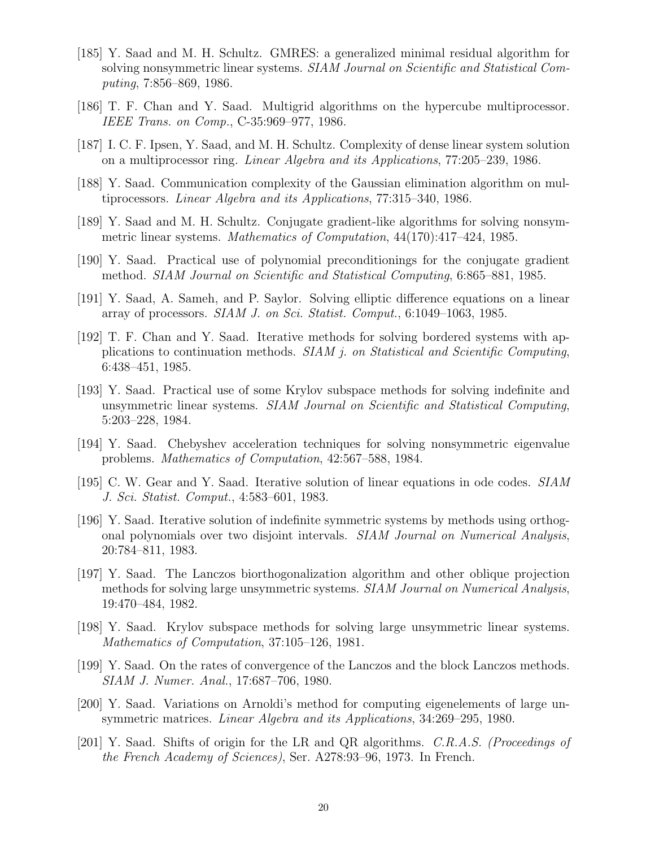- [185] Y. Saad and M. H. Schultz. GMRES: a generalized minimal residual algorithm for solving nonsymmetric linear systems. SIAM Journal on Scientific and Statistical Computing, 7:856–869, 1986.
- [186] T. F. Chan and Y. Saad. Multigrid algorithms on the hypercube multiprocessor. IEEE Trans. on Comp., C-35:969–977, 1986.
- [187] I. C. F. Ipsen, Y. Saad, and M. H. Schultz. Complexity of dense linear system solution on a multiprocessor ring. Linear Algebra and its Applications, 77:205–239, 1986.
- [188] Y. Saad. Communication complexity of the Gaussian elimination algorithm on multiprocessors. Linear Algebra and its Applications, 77:315–340, 1986.
- [189] Y. Saad and M. H. Schultz. Conjugate gradient-like algorithms for solving nonsymmetric linear systems. Mathematics of Computation, 44(170):417–424, 1985.
- [190] Y. Saad. Practical use of polynomial preconditionings for the conjugate gradient method. SIAM Journal on Scientific and Statistical Computing, 6:865–881, 1985.
- [191] Y. Saad, A. Sameh, and P. Saylor. Solving elliptic difference equations on a linear array of processors. SIAM J. on Sci. Statist. Comput., 6:1049–1063, 1985.
- [192] T. F. Chan and Y. Saad. Iterative methods for solving bordered systems with applications to continuation methods. SIAM j. on Statistical and Scientific Computing, 6:438–451, 1985.
- [193] Y. Saad. Practical use of some Krylov subspace methods for solving indefinite and unsymmetric linear systems. SIAM Journal on Scientific and Statistical Computing, 5:203–228, 1984.
- [194] Y. Saad. Chebyshev acceleration techniques for solving nonsymmetric eigenvalue problems. Mathematics of Computation, 42:567–588, 1984.
- [195] C. W. Gear and Y. Saad. Iterative solution of linear equations in ode codes. SIAM J. Sci. Statist. Comput., 4:583–601, 1983.
- [196] Y. Saad. Iterative solution of indefinite symmetric systems by methods using orthogonal polynomials over two disjoint intervals. SIAM Journal on Numerical Analysis, 20:784–811, 1983.
- [197] Y. Saad. The Lanczos biorthogonalization algorithm and other oblique projection methods for solving large unsymmetric systems. SIAM Journal on Numerical Analysis, 19:470–484, 1982.
- [198] Y. Saad. Krylov subspace methods for solving large unsymmetric linear systems. Mathematics of Computation, 37:105–126, 1981.
- [199] Y. Saad. On the rates of convergence of the Lanczos and the block Lanczos methods. SIAM J. Numer. Anal., 17:687–706, 1980.
- [200] Y. Saad. Variations on Arnoldi's method for computing eigenelements of large unsymmetric matrices. Linear Algebra and its Applications, 34:269–295, 1980.
- [201] Y. Saad. Shifts of origin for the LR and QR algorithms. C.R.A.S. (Proceedings of the French Academy of Sciences), Ser. A278:93–96, 1973. In French.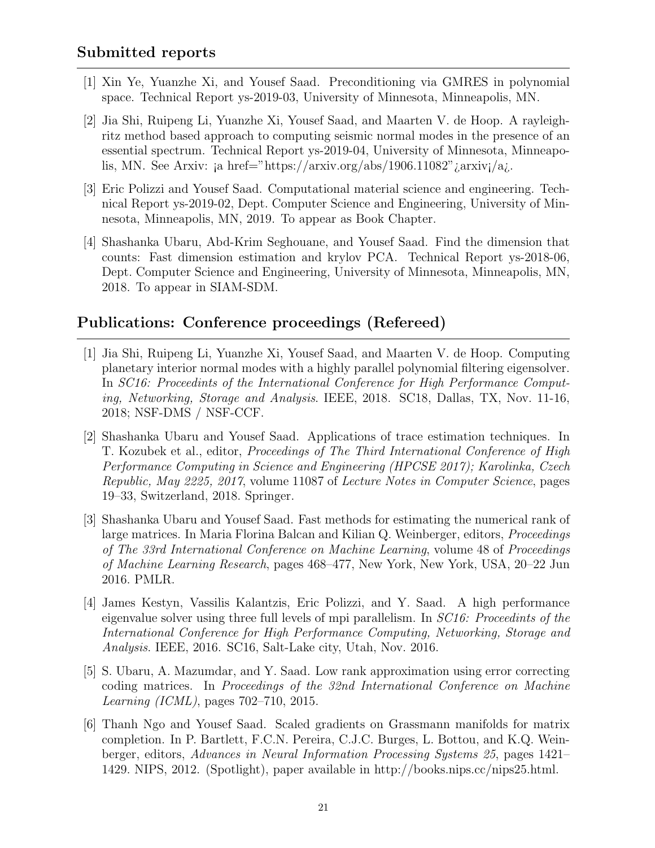- [1] Xin Ye, Yuanzhe Xi, and Yousef Saad. Preconditioning via GMRES in polynomial space. Technical Report ys-2019-03, University of Minnesota, Minneapolis, MN.
- [2] Jia Shi, Ruipeng Li, Yuanzhe Xi, Yousef Saad, and Maarten V. de Hoop. A rayleighritz method based approach to computing seismic normal modes in the presence of an essential spectrum. Technical Report ys-2019-04, University of Minnesota, Minneapolis, MN. See Arxiv: ja href="https://arxiv.org/abs/1906.11082" *jarxiv*j/a*j*.
- [3] Eric Polizzi and Yousef Saad. Computational material science and engineering. Technical Report ys-2019-02, Dept. Computer Science and Engineering, University of Minnesota, Minneapolis, MN, 2019. To appear as Book Chapter.
- [4] Shashanka Ubaru, Abd-Krim Seghouane, and Yousef Saad. Find the dimension that counts: Fast dimension estimation and krylov PCA. Technical Report ys-2018-06, Dept. Computer Science and Engineering, University of Minnesota, Minneapolis, MN, 2018. To appear in SIAM-SDM.

# Publications: Conference proceedings (Refereed)

- [1] Jia Shi, Ruipeng Li, Yuanzhe Xi, Yousef Saad, and Maarten V. de Hoop. Computing planetary interior normal modes with a highly parallel polynomial filtering eigensolver. In SC16: Proceedints of the International Conference for High Performance Computing, Networking, Storage and Analysis. IEEE, 2018. SC18, Dallas, TX, Nov. 11-16, 2018; NSF-DMS / NSF-CCF.
- [2] Shashanka Ubaru and Yousef Saad. Applications of trace estimation techniques. In T. Kozubek et al., editor, Proceedings of The Third International Conference of High Performance Computing in Science and Engineering (HPCSE 2017); Karolinka, Czech Republic, May 2225, 2017, volume 11087 of Lecture Notes in Computer Science, pages 19–33, Switzerland, 2018. Springer.
- [3] Shashanka Ubaru and Yousef Saad. Fast methods for estimating the numerical rank of large matrices. In Maria Florina Balcan and Kilian Q. Weinberger, editors, *Proceedings* of The 33rd International Conference on Machine Learning, volume 48 of Proceedings of Machine Learning Research, pages 468–477, New York, New York, USA, 20–22 Jun 2016. PMLR.
- [4] James Kestyn, Vassilis Kalantzis, Eric Polizzi, and Y. Saad. A high performance eigenvalue solver using three full levels of mpi parallelism. In SC16: Proceedints of the International Conference for High Performance Computing, Networking, Storage and Analysis. IEEE, 2016. SC16, Salt-Lake city, Utah, Nov. 2016.
- [5] S. Ubaru, A. Mazumdar, and Y. Saad. Low rank approximation using error correcting coding matrices. In Proceedings of the 32nd International Conference on Machine Learning (ICML), pages 702–710, 2015.
- [6] Thanh Ngo and Yousef Saad. Scaled gradients on Grassmann manifolds for matrix completion. In P. Bartlett, F.C.N. Pereira, C.J.C. Burges, L. Bottou, and K.Q. Weinberger, editors, Advances in Neural Information Processing Systems 25, pages 1421– 1429. NIPS, 2012. (Spotlight), paper available in http://books.nips.cc/nips25.html.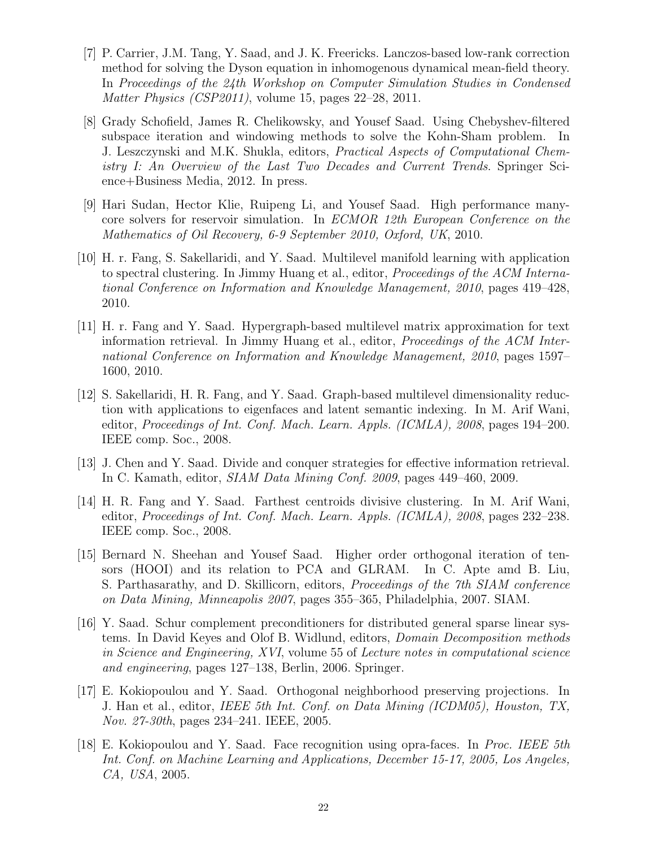- [7] P. Carrier, J.M. Tang, Y. Saad, and J. K. Freericks. Lanczos-based low-rank correction method for solving the Dyson equation in inhomogenous dynamical mean-field theory. In Proceedings of the 24th Workshop on Computer Simulation Studies in Condensed Matter Physics (CSP2011), volume 15, pages 22–28, 2011.
- [8] Grady Schofield, James R. Chelikowsky, and Yousef Saad. Using Chebyshev-filtered subspace iteration and windowing methods to solve the Kohn-Sham problem. In J. Leszczynski and M.K. Shukla, editors, Practical Aspects of Computational Chemistry I: An Overview of the Last Two Decades and Current Trends. Springer Science+Business Media, 2012. In press.
- [9] Hari Sudan, Hector Klie, Ruipeng Li, and Yousef Saad. High performance manycore solvers for reservoir simulation. In ECMOR 12th European Conference on the Mathematics of Oil Recovery, 6-9 September 2010, Oxford, UK, 2010.
- [10] H. r. Fang, S. Sakellaridi, and Y. Saad. Multilevel manifold learning with application to spectral clustering. In Jimmy Huang et al., editor, Proceedings of the ACM International Conference on Information and Knowledge Management, 2010, pages 419–428, 2010.
- [11] H. r. Fang and Y. Saad. Hypergraph-based multilevel matrix approximation for text information retrieval. In Jimmy Huang et al., editor, Proceedings of the ACM International Conference on Information and Knowledge Management, 2010, pages 1597– 1600, 2010.
- [12] S. Sakellaridi, H. R. Fang, and Y. Saad. Graph-based multilevel dimensionality reduction with applications to eigenfaces and latent semantic indexing. In M. Arif Wani, editor, Proceedings of Int. Conf. Mach. Learn. Appls. (ICMLA), 2008, pages 194–200. IEEE comp. Soc., 2008.
- [13] J. Chen and Y. Saad. Divide and conquer strategies for effective information retrieval. In C. Kamath, editor, SIAM Data Mining Conf. 2009, pages 449–460, 2009.
- [14] H. R. Fang and Y. Saad. Farthest centroids divisive clustering. In M. Arif Wani, editor, Proceedings of Int. Conf. Mach. Learn. Appls. (ICMLA), 2008, pages 232–238. IEEE comp. Soc., 2008.
- [15] Bernard N. Sheehan and Yousef Saad. Higher order orthogonal iteration of tensors (HOOI) and its relation to PCA and GLRAM. In C. Apte amd B. Liu, S. Parthasarathy, and D. Skillicorn, editors, Proceedings of the 7th SIAM conference on Data Mining, Minneapolis 2007, pages 355–365, Philadelphia, 2007. SIAM.
- [16] Y. Saad. Schur complement preconditioners for distributed general sparse linear systems. In David Keyes and Olof B. Widlund, editors, Domain Decomposition methods in Science and Engineering, XVI, volume 55 of Lecture notes in computational science and engineering, pages 127–138, Berlin, 2006. Springer.
- [17] E. Kokiopoulou and Y. Saad. Orthogonal neighborhood preserving projections. In J. Han et al., editor, IEEE 5th Int. Conf. on Data Mining (ICDM05), Houston, TX, Nov. 27-30th, pages 234–241. IEEE, 2005.
- [18] E. Kokiopoulou and Y. Saad. Face recognition using opra-faces. In Proc. IEEE 5th Int. Conf. on Machine Learning and Applications, December 15-17, 2005, Los Angeles, CA, USA, 2005.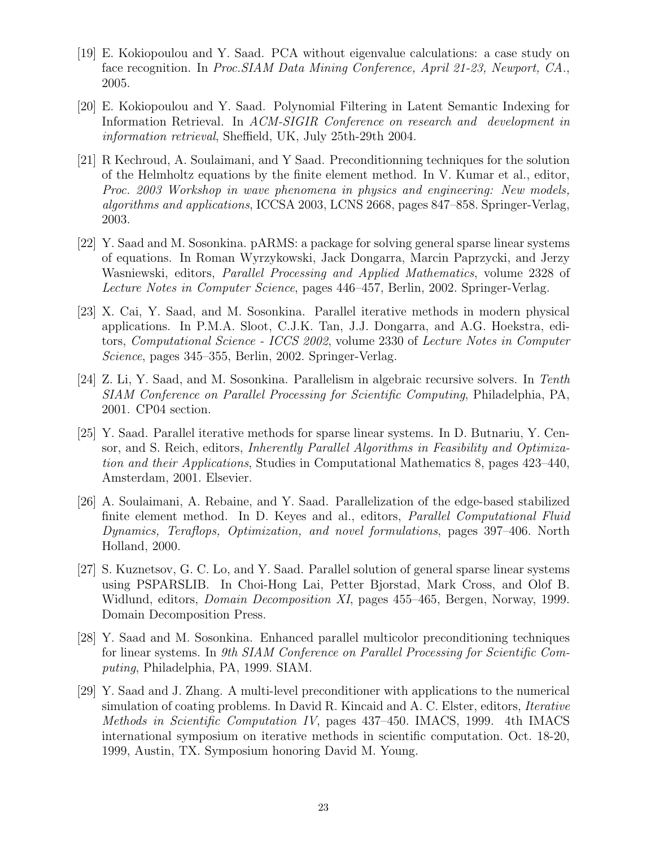- [19] E. Kokiopoulou and Y. Saad. PCA without eigenvalue calculations: a case study on face recognition. In Proc.SIAM Data Mining Conference, April 21-23, Newport, CA., 2005.
- [20] E. Kokiopoulou and Y. Saad. Polynomial Filtering in Latent Semantic Indexing for Information Retrieval. In ACM-SIGIR Conference on research and development in information retrieval, Sheffield, UK, July 25th-29th 2004.
- [21] R Kechroud, A. Soulaimani, and Y Saad. Preconditionning techniques for the solution of the Helmholtz equations by the finite element method. In V. Kumar et al., editor, Proc. 2003 Workshop in wave phenomena in physics and engineering: New models, algorithms and applications, ICCSA 2003, LCNS 2668, pages 847–858. Springer-Verlag, 2003.
- [22] Y. Saad and M. Sosonkina. pARMS: a package for solving general sparse linear systems of equations. In Roman Wyrzykowski, Jack Dongarra, Marcin Paprzycki, and Jerzy Wasniewski, editors, Parallel Processing and Applied Mathematics, volume 2328 of Lecture Notes in Computer Science, pages 446–457, Berlin, 2002. Springer-Verlag.
- [23] X. Cai, Y. Saad, and M. Sosonkina. Parallel iterative methods in modern physical applications. In P.M.A. Sloot, C.J.K. Tan, J.J. Dongarra, and A.G. Hoekstra, editors, Computational Science - ICCS 2002, volume 2330 of Lecture Notes in Computer Science, pages 345–355, Berlin, 2002. Springer-Verlag.
- [24] Z. Li, Y. Saad, and M. Sosonkina. Parallelism in algebraic recursive solvers. In Tenth SIAM Conference on Parallel Processing for Scientific Computing, Philadelphia, PA, 2001. CP04 section.
- [25] Y. Saad. Parallel iterative methods for sparse linear systems. In D. Butnariu, Y. Censor, and S. Reich, editors, Inherently Parallel Algorithms in Feasibility and Optimization and their Applications, Studies in Computational Mathematics 8, pages 423–440, Amsterdam, 2001. Elsevier.
- [26] A. Soulaimani, A. Rebaine, and Y. Saad. Parallelization of the edge-based stabilized finite element method. In D. Keyes and al., editors, Parallel Computational Fluid Dynamics, Teraflops, Optimization, and novel formulations, pages 397–406. North Holland, 2000.
- [27] S. Kuznetsov, G. C. Lo, and Y. Saad. Parallel solution of general sparse linear systems using PSPARSLIB. In Choi-Hong Lai, Petter Bjorstad, Mark Cross, and Olof B. Widlund, editors, *Domain Decomposition XI*, pages 455–465, Bergen, Norway, 1999. Domain Decomposition Press.
- [28] Y. Saad and M. Sosonkina. Enhanced parallel multicolor preconditioning techniques for linear systems. In 9th SIAM Conference on Parallel Processing for Scientific Computing, Philadelphia, PA, 1999. SIAM.
- [29] Y. Saad and J. Zhang. A multi-level preconditioner with applications to the numerical simulation of coating problems. In David R. Kincaid and A. C. Elster, editors, Iterative Methods in Scientific Computation IV, pages 437–450. IMACS, 1999. 4th IMACS international symposium on iterative methods in scientific computation. Oct. 18-20, 1999, Austin, TX. Symposium honoring David M. Young.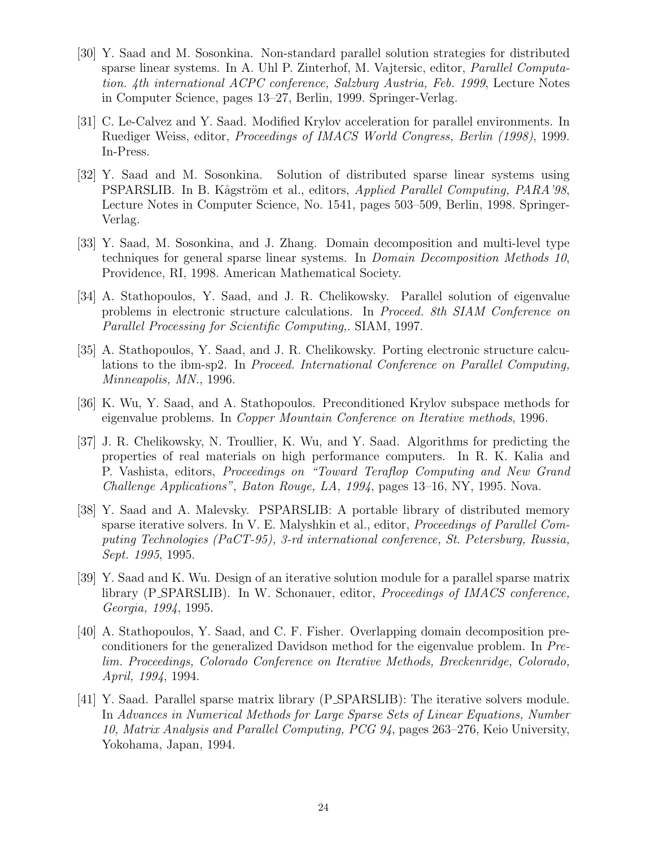- [30] Y. Saad and M. Sosonkina. Non-standard parallel solution strategies for distributed sparse linear systems. In A. Uhl P. Zinterhof, M. Vajtersic, editor, Parallel Computation. 4th international ACPC conference, Salzburg Austria, Feb. 1999, Lecture Notes in Computer Science, pages 13–27, Berlin, 1999. Springer-Verlag.
- [31] C. Le-Calvez and Y. Saad. Modified Krylov acceleration for parallel environments. In Ruediger Weiss, editor, Proceedings of IMACS World Congress, Berlin (1998), 1999. In-Press.
- [32] Y. Saad and M. Sosonkina. Solution of distributed sparse linear systems using PSPARSLIB. In B. Kågström et al., editors, Applied Parallel Computing, PARA'98, Lecture Notes in Computer Science, No. 1541, pages 503–509, Berlin, 1998. Springer-Verlag.
- [33] Y. Saad, M. Sosonkina, and J. Zhang. Domain decomposition and multi-level type techniques for general sparse linear systems. In Domain Decomposition Methods 10, Providence, RI, 1998. American Mathematical Society.
- [34] A. Stathopoulos, Y. Saad, and J. R. Chelikowsky. Parallel solution of eigenvalue problems in electronic structure calculations. In Proceed. 8th SIAM Conference on Parallel Processing for Scientific Computing,. SIAM, 1997.
- [35] A. Stathopoulos, Y. Saad, and J. R. Chelikowsky. Porting electronic structure calculations to the ibm-sp2. In Proceed. International Conference on Parallel Computing, Minneapolis, MN., 1996.
- [36] K. Wu, Y. Saad, and A. Stathopoulos. Preconditioned Krylov subspace methods for eigenvalue problems. In Copper Mountain Conference on Iterative methods, 1996.
- [37] J. R. Chelikowsky, N. Troullier, K. Wu, and Y. Saad. Algorithms for predicting the properties of real materials on high performance computers. In R. K. Kalia and P. Vashista, editors, Proceedings on "Toward Teraflop Computing and New Grand Challenge Applications", Baton Rouge, LA, 1994, pages 13–16, NY, 1995. Nova.
- [38] Y. Saad and A. Malevsky. PSPARSLIB: A portable library of distributed memory sparse iterative solvers. In V. E. Malyshkin et al., editor, *Proceedings of Parallel Com*puting Technologies (PaCT-95), 3-rd international conference, St. Petersburg, Russia, Sept. 1995, 1995.
- [39] Y. Saad and K. Wu. Design of an iterative solution module for a parallel sparse matrix library (P SPARSLIB). In W. Schonauer, editor, Proceedings of IMACS conference, Georgia, 1994, 1995.
- [40] A. Stathopoulos, Y. Saad, and C. F. Fisher. Overlapping domain decomposition preconditioners for the generalized Davidson method for the eigenvalue problem. In Prelim. Proceedings, Colorado Conference on Iterative Methods, Breckenridge, Colorado, April, 1994, 1994.
- [41] Y. Saad. Parallel sparse matrix library (P SPARSLIB): The iterative solvers module. In Advances in Numerical Methods for Large Sparse Sets of Linear Equations, Number 10, Matrix Analysis and Parallel Computing, PCG 94, pages 263–276, Keio University, Yokohama, Japan, 1994.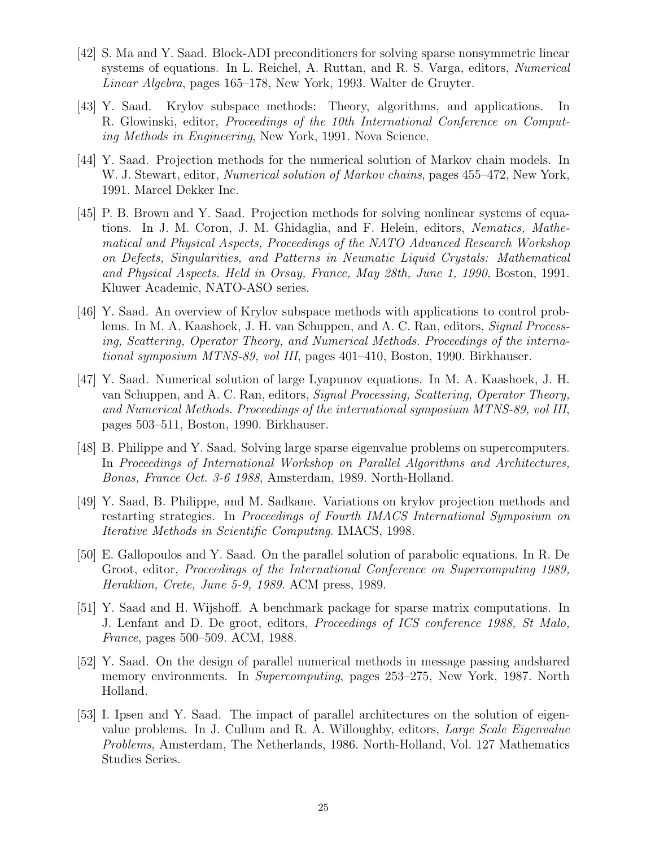- [42] S. Ma and Y. Saad. Block-ADI preconditioners for solving sparse nonsymmetric linear systems of equations. In L. Reichel, A. Ruttan, and R. S. Varga, editors, Numerical Linear Algebra, pages 165–178, New York, 1993. Walter de Gruyter.
- [43] Y. Saad. Krylov subspace methods: Theory, algorithms, and applications. In R. Glowinski, editor, Proceedings of the 10th International Conference on Computing Methods in Engineering, New York, 1991. Nova Science.
- [44] Y. Saad. Projection methods for the numerical solution of Markov chain models. In W. J. Stewart, editor, Numerical solution of Markov chains, pages 455–472, New York, 1991. Marcel Dekker Inc.
- [45] P. B. Brown and Y. Saad. Projection methods for solving nonlinear systems of equations. In J. M. Coron, J. M. Ghidaglia, and F. Helein, editors, Nematics, Mathematical and Physical Aspects, Proceedings of the NATO Advanced Research Workshop on Defects, Singularities, and Patterns in Neumatic Liquid Crystals: Mathematical and Physical Aspects. Held in Orsay, France, May 28th, June 1, 1990, Boston, 1991. Kluwer Academic, NATO-ASO series.
- [46] Y. Saad. An overview of Krylov subspace methods with applications to control problems. In M. A. Kaashoek, J. H. van Schuppen, and A. C. Ran, editors, Signal Processing, Scattering, Operator Theory, and Numerical Methods. Proceedings of the international symposium MTNS-89, vol III, pages 401–410, Boston, 1990. Birkhauser.
- [47] Y. Saad. Numerical solution of large Lyapunov equations. In M. A. Kaashoek, J. H. van Schuppen, and A. C. Ran, editors, Signal Processing, Scattering, Operator Theory, and Numerical Methods. Proceedings of the international symposium MTNS-89, vol III, pages 503–511, Boston, 1990. Birkhauser.
- [48] B. Philippe and Y. Saad. Solving large sparse eigenvalue problems on supercomputers. In Proceedings of International Workshop on Parallel Algorithms and Architectures, Bonas, France Oct. 3-6 1988, Amsterdam, 1989. North-Holland.
- [49] Y. Saad, B. Philippe, and M. Sadkane. Variations on krylov projection methods and restarting strategies. In Proceedings of Fourth IMACS International Symposium on Iterative Methods in Scientific Computing. IMACS, 1998.
- [50] E. Gallopoulos and Y. Saad. On the parallel solution of parabolic equations. In R. De Groot, editor, Proceedings of the International Conference on Supercomputing 1989, Heraklion, Crete, June 5-9, 1989. ACM press, 1989.
- [51] Y. Saad and H. Wijshoff. A benchmark package for sparse matrix computations. In J. Lenfant and D. De groot, editors, Proceedings of ICS conference 1988, St Malo, France, pages 500–509. ACM, 1988.
- [52] Y. Saad. On the design of parallel numerical methods in message passing andshared memory environments. In Supercomputing, pages 253–275, New York, 1987. North Holland.
- [53] I. Ipsen and Y. Saad. The impact of parallel architectures on the solution of eigenvalue problems. In J. Cullum and R. A. Willoughby, editors, Large Scale Eigenvalue Problems, Amsterdam, The Netherlands, 1986. North-Holland, Vol. 127 Mathematics Studies Series.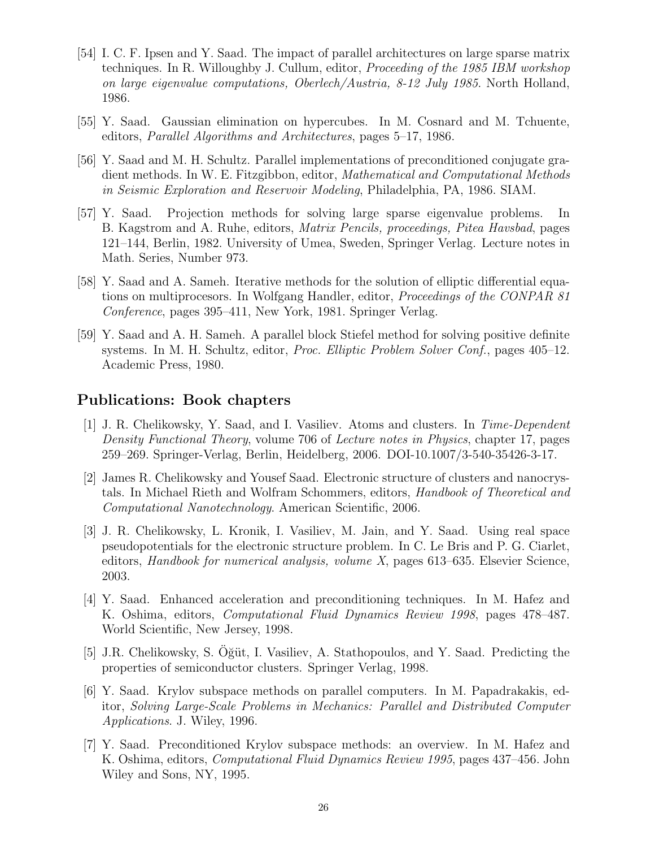- [54] I. C. F. Ipsen and Y. Saad. The impact of parallel architectures on large sparse matrix techniques. In R. Willoughby J. Cullum, editor, Proceeding of the 1985 IBM workshop on large eigenvalue computations, Oberlech/Austria, 8-12 July 1985. North Holland, 1986.
- [55] Y. Saad. Gaussian elimination on hypercubes. In M. Cosnard and M. Tchuente, editors, Parallel Algorithms and Architectures, pages 5–17, 1986.
- [56] Y. Saad and M. H. Schultz. Parallel implementations of preconditioned conjugate gradient methods. In W. E. Fitzgibbon, editor, Mathematical and Computational Methods in Seismic Exploration and Reservoir Modeling, Philadelphia, PA, 1986. SIAM.
- [57] Y. Saad. Projection methods for solving large sparse eigenvalue problems. In B. Kagstrom and A. Ruhe, editors, Matrix Pencils, proceedings, Pitea Havsbad, pages 121–144, Berlin, 1982. University of Umea, Sweden, Springer Verlag. Lecture notes in Math. Series, Number 973.
- [58] Y. Saad and A. Sameh. Iterative methods for the solution of elliptic differential equations on multiprocesors. In Wolfgang Handler, editor, Proceedings of the CONPAR 81 Conference, pages 395–411, New York, 1981. Springer Verlag.
- [59] Y. Saad and A. H. Sameh. A parallel block Stiefel method for solving positive definite systems. In M. H. Schultz, editor, Proc. Elliptic Problem Solver Conf., pages 405–12. Academic Press, 1980.

#### Publications: Book chapters

- [1] J. R. Chelikowsky, Y. Saad, and I. Vasiliev. Atoms and clusters. In Time-Dependent Density Functional Theory, volume 706 of Lecture notes in Physics, chapter 17, pages 259–269. Springer-Verlag, Berlin, Heidelberg, 2006. DOI-10.1007/3-540-35426-3-17.
- [2] James R. Chelikowsky and Yousef Saad. Electronic structure of clusters and nanocrystals. In Michael Rieth and Wolfram Schommers, editors, Handbook of Theoretical and Computational Nanotechnology. American Scientific, 2006.
- [3] J. R. Chelikowsky, L. Kronik, I. Vasiliev, M. Jain, and Y. Saad. Using real space pseudopotentials for the electronic structure problem. In C. Le Bris and P. G. Ciarlet, editors, Handbook for numerical analysis, volume X, pages 613–635. Elsevier Science, 2003.
- [4] Y. Saad. Enhanced acceleration and preconditioning techniques. In M. Hafez and K. Oshima, editors, Computational Fluid Dynamics Review 1998, pages 478–487. World Scientific, New Jersey, 1998.
- [5] J.R. Chelikowsky, S. Oğüt, I. Vasiliev, A. Stathopoulos, and Y. Saad. Predicting the properties of semiconductor clusters. Springer Verlag, 1998.
- [6] Y. Saad. Krylov subspace methods on parallel computers. In M. Papadrakakis, editor, Solving Large-Scale Problems in Mechanics: Parallel and Distributed Computer Applications. J. Wiley, 1996.
- [7] Y. Saad. Preconditioned Krylov subspace methods: an overview. In M. Hafez and K. Oshima, editors, Computational Fluid Dynamics Review 1995, pages 437–456. John Wiley and Sons, NY, 1995.